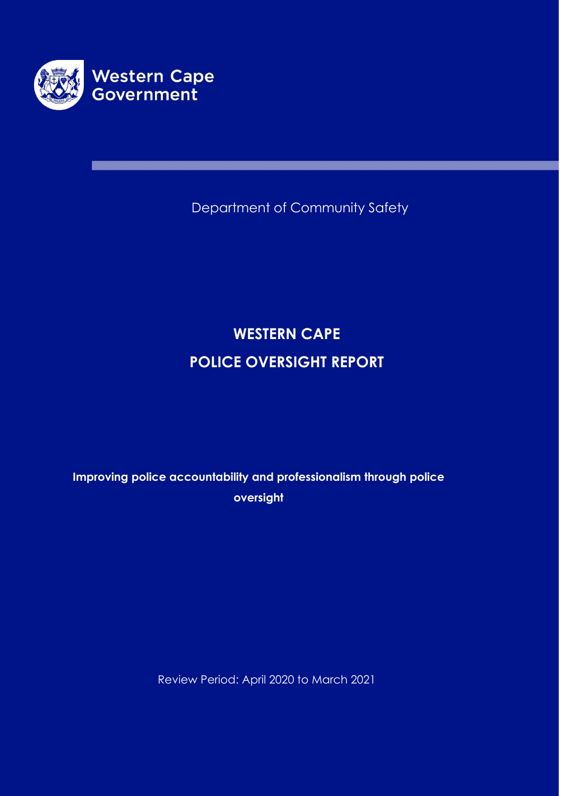

Department of Community Safety

# **WESTERN CAPE POLICE OVERSIGHT REPORT**

**Improving police accountability and professionalism through police oversight** 

Review Period: April 2020 to March 2021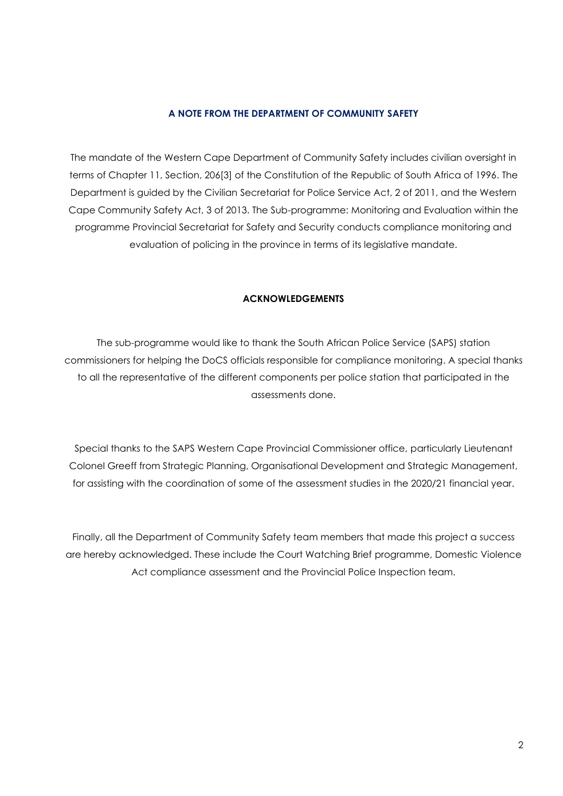#### **A NOTE FROM THE DEPARTMENT OF COMMUNITY SAFETY**

The mandate of the Western Cape Department of Community Safety includes civilian oversight in terms of Chapter 11, Section, 206[3] of the Constitution of the Republic of South Africa of 1996. The Department is guided by the Civilian Secretariat for Police Service Act, 2 of 2011, and the Western Cape Community Safety Act, 3 of 2013. The Sub-programme: Monitoring and Evaluation within the programme Provincial Secretariat for Safety and Security conducts compliance monitoring and evaluation of policing in the province in terms of its legislative mandate.

#### **ACKNOWLEDGEMENTS**

The sub-programme would like to thank the South African Police Service (SAPS) station commissioners for helping the DoCS officials responsible for compliance monitoring. A special thanks to all the representative of the different components per police station that participated in the assessments done.

Special thanks to the SAPS Western Cape Provincial Commissioner office, particularly Lieutenant Colonel Greeff from Strategic Planning, Organisational Development and Strategic Management, for assisting with the coordination of some of the assessment studies in the 2020/21 financial year.

Finally, all the Department of Community Safety team members that made this project a success are hereby acknowledged. These include the Court Watching Brief programme, Domestic Violence Act compliance assessment and the Provincial Police Inspection team.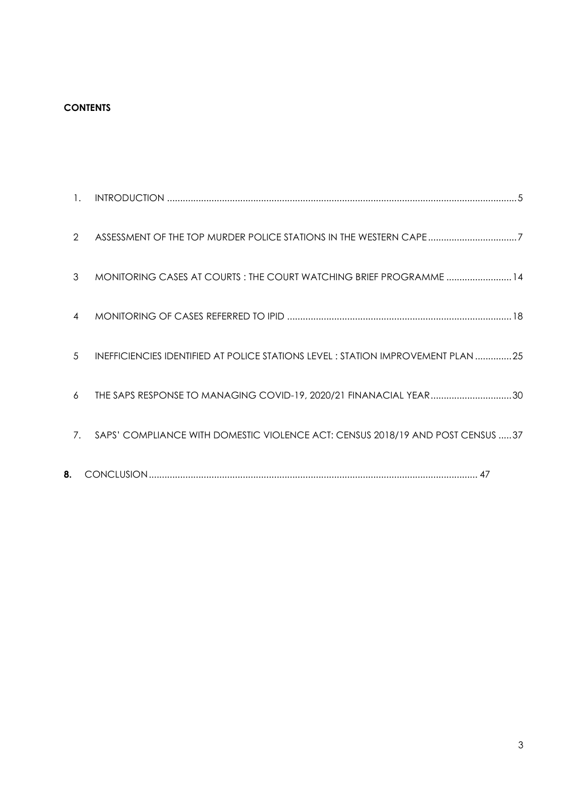# **CONTENTS**

| 7.             | SAPS' COMPLIANCE WITH DOMESTIC VIOLENCE ACT: CENSUS 2018/19 AND POST CENSUS 37   |
|----------------|----------------------------------------------------------------------------------|
| 6              | THE SAPS RESPONSE TO MANAGING COVID-19, 2020/21 FINANACIAL YEAR30                |
| 5              | INEFFICIENCIES IDENTIFIED AT POLICE STATIONS LEVEL : STATION IMPROVEMENT PLAN 25 |
| 4              |                                                                                  |
| 3              | MONITORING CASES AT COURTS : THE COURT WATCHING BRIEF PROGRAMME  14              |
| 2              | ASSESSMENT OF THE TOP MURDER POLICE STATIONS IN THE WESTERN CAPE7                |
| $\mathbf{1}$ . |                                                                                  |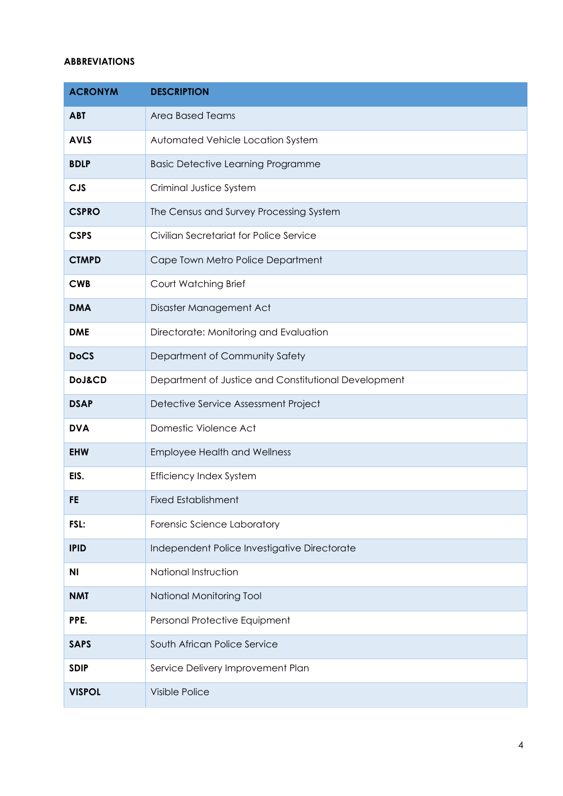## **ABBREVIATIONS**

| <b>ACRONYM</b>    | <b>DESCRIPTION</b>                                   |
|-------------------|------------------------------------------------------|
| <b>ABT</b>        | Area Based Teams                                     |
| <b>AVLS</b>       | Automated Vehicle Location System                    |
| <b>BDLP</b>       | <b>Basic Detective Learning Programme</b>            |
| <b>CJS</b>        | Criminal Justice System                              |
| <b>CSPRO</b>      | The Census and Survey Processing System              |
| <b>CSPS</b>       | Civilian Secretariat for Police Service              |
| <b>CTMPD</b>      | Cape Town Metro Police Department                    |
| <b>CWB</b>        | Court Watching Brief                                 |
| <b>DMA</b>        | Disaster Management Act                              |
| <b>DME</b>        | Directorate: Monitoring and Evaluation               |
| <b>DoCS</b>       | Department of Community Safety                       |
| <b>DoJ&amp;CD</b> | Department of Justice and Constitutional Development |
| <b>DSAP</b>       | Detective Service Assessment Project                 |
| <b>DVA</b>        | Domestic Violence Act                                |
| <b>EHW</b>        | <b>Employee Health and Wellness</b>                  |
| EIS.              | <b>Efficiency Index System</b>                       |
| FE                | <b>Fixed Establishment</b>                           |
| FSL:              | Forensic Science Laboratory                          |
| <b>IPID</b>       | Independent Police Investigative Directorate         |
| ΝI                | National Instruction                                 |
| <b>NMT</b>        | National Monitoring Tool                             |
| PPE.              | Personal Protective Equipment                        |
| <b>SAPS</b>       | South African Police Service                         |
| <b>SDIP</b>       | Service Delivery Improvement Plan                    |
| <b>VISPOL</b>     | Visible Police                                       |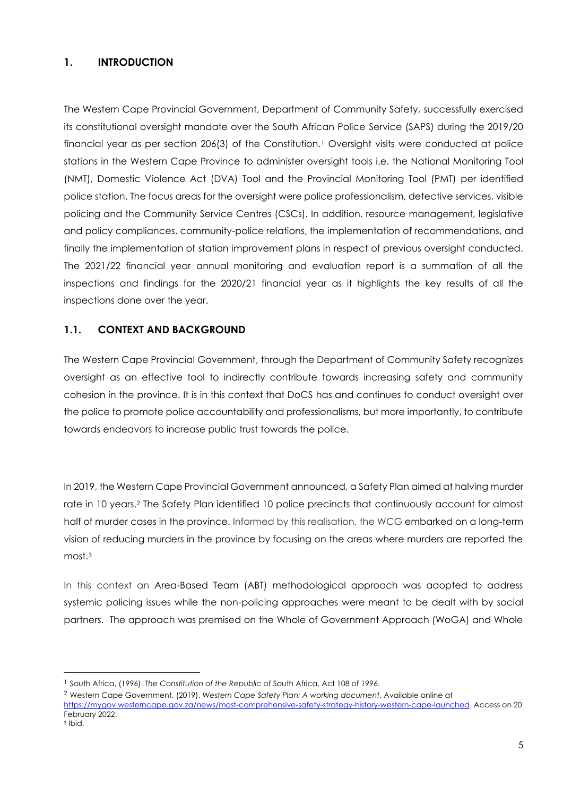# <span id="page-4-0"></span>**1. INTRODUCTION**

The Western Cape Provincial Government, Department of Community Safety, successfully exercised its constitutional oversight mandate over the South African Police Service (SAPS) during the 2019/20 financial year as per section 206(3) of the Constitution.<sup>1</sup> Oversight visits were conducted at police stations in the Western Cape Province to administer oversight tools i.e. the National Monitoring Tool (NMT), Domestic Violence Act (DVA) Tool and the Provincial Monitoring Tool (PMT) per identified police station. The focus areas for the oversight were police professionalism, detective services, visible policing and the Community Service Centres (CSCs). In addition, resource management, legislative and policy compliances, community-police relations, the implementation of recommendations, and finally the implementation of station improvement plans in respect of previous oversight conducted. The 2021/22 financial year annual monitoring and evaluation report is a summation of all the inspections and findings for the 2020/21 financial year as it highlights the key results of all the inspections done over the year.

# **1.1. CONTEXT AND BACKGROUND**

The Western Cape Provincial Government, through the Department of Community Safety recognizes oversight as an effective tool to indirectly contribute towards increasing safety and community cohesion in the province. It is in this context that DoCS has and continues to conduct oversight over the police to promote police accountability and professionalisms, but more importantly, to contribute towards endeavors to increase public trust towards the police.

In 2019, the Western Cape Provincial Government announced, a Safety Plan aimed at halving murder rate in 10 years.<sup>2</sup> The Safety Plan identified 10 police precincts that continuously account for almost half of murder cases in the province. Informed by this realisation, the WCG embarked on a long-term vision of reducing murders in the province by focusing on the areas where murders are reported the most.<sup>3</sup>

In this context an Area-Based Team (ABT) methodological approach was adopted to address systemic policing issues while the non-policing approaches were meant to be dealt with by social partners. The approach was premised on the Whole of Government Approach (WoGA) and Whole

<sup>1</sup> South Africa, (1996). *The Constitution of the Republic of* South Africa, Act 108 of 1996.

<sup>2</sup> Western Cape Government, (2019). *Western Cape Safety Plan: A working document*. Available online at

[https://mygov.westerncape.gov.za/news/most-comprehensive-safety-strategy-history-western-cape-launched.](https://mygov.westerncape.gov.za/news/most-comprehensive-safety-strategy-history-western-cape-launched) Access on 20 February 2022.

<sup>3</sup> Ibid.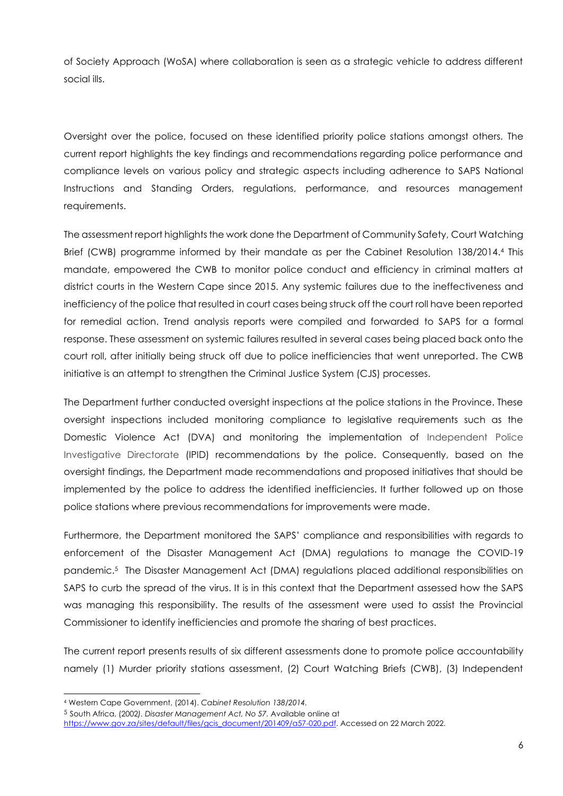of Society Approach (WoSA) where collaboration is seen as a strategic vehicle to address different social ills.

Oversight over the police, focused on these identified priority police stations amongst others. The current report highlights the key findings and recommendations regarding police performance and compliance levels on various policy and strategic aspects including adherence to SAPS National Instructions and Standing Orders, regulations, performance, and resources management requirements.

The assessment report highlights the work done the Department of Community Safety, Court Watching Brief (CWB) programme informed by their mandate as per the Cabinet Resolution 138/2014. <sup>4</sup> This mandate, empowered the CWB to monitor police conduct and efficiency in criminal matters at district courts in the Western Cape since 2015. Any systemic failures due to the ineffectiveness and inefficiency of the police that resulted in court cases being struck off the court roll have been reported for remedial action. Trend analysis reports were compiled and forwarded to SAPS for a formal response. These assessment on systemic failures resulted in several cases being placed back onto the court roll, after initially being struck off due to police inefficiencies that went unreported. The CWB initiative is an attempt to strengthen the Criminal Justice System (CJS) processes.

The Department further conducted oversight inspections at the police stations in the Province. These oversight inspections included monitoring compliance to legislative requirements such as the Domestic Violence Act (DVA) and monitoring the implementation of Independent Police Investigative Directorate (IPID) recommendations by the police. Consequently, based on the oversight findings, the Department made recommendations and proposed initiatives that should be implemented by the police to address the identified inefficiencies. It further followed up on those police stations where previous recommendations for improvements were made.

Furthermore, the Department monitored the SAPS' compliance and responsibilities with regards to enforcement of the Disaster Management Act (DMA) regulations to manage the COVID-19 pandemic.<sup>5</sup> The Disaster Management Act (DMA) regulations placed additional responsibilities on SAPS to curb the spread of the virus. It is in this context that the Department assessed how the SAPS was managing this responsibility. The results of the assessment were used to assist the Provincial Commissioner to identify inefficiencies and promote the sharing of best practices.

The current report presents results of six different assessments done to promote police accountability namely (1) Murder priority stations assessment, (2) Court Watching Briefs (CWB), (3) Independent

<sup>4</sup> Western Cape Government, (2014). *Cabinet Resolution 138/2014.*

<sup>5</sup> South Africa, (2002*). Disaster Management Act, No 57.* Available online at

[https://www.gov.za/sites/default/files/gcis\\_document/201409/a57-020.pdf.](https://www.gov.za/sites/default/files/gcis_document/201409/a57-020.pdf) Accessed on 22 March 2022.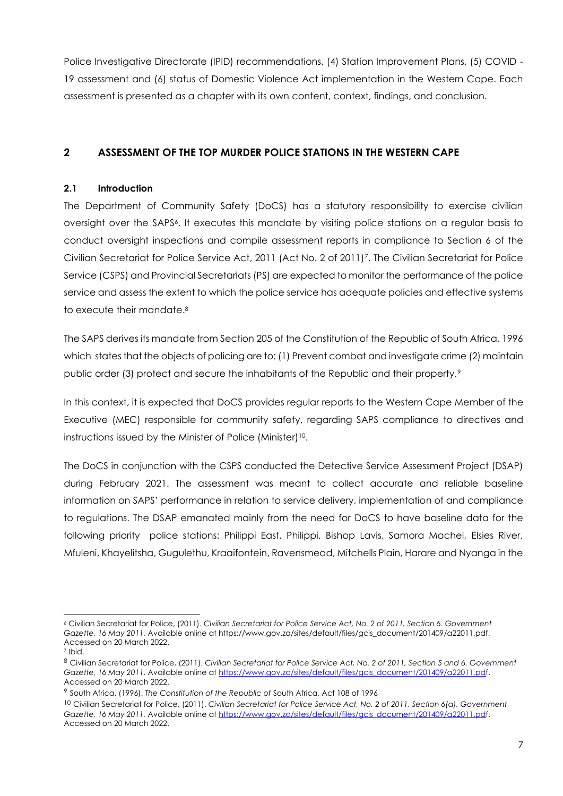Police Investigative Directorate (IPID) recommendations, (4) Station Improvement Plans, (5) COVID - 19 assessment and (6) status of Domestic Violence Act implementation in the Western Cape. Each assessment is presented as a chapter with its own content, context, findings, and conclusion.

# <span id="page-6-0"></span>**2 ASSESSMENT OF THE TOP MURDER POLICE STATIONS IN THE WESTERN CAPE**

# **2.1 Introduction**

The Department of Community Safety (DoCS) has a statutory responsibility to exercise civilian oversight over the SAPS6. It executes this mandate by visiting police stations on a regular basis to conduct oversight inspections and compile assessment reports in compliance to Section 6 of the Civilian Secretariat for Police Service Act, 2011 (Act No. 2 of 2011)7. The Civilian Secretariat for Police Service (CSPS) and Provincial Secretariats (PS) are expected to monitor the performance of the police service and assess the extent to which the police service has adequate policies and effective systems to execute their mandate. 8

The SAPS derives its mandate from Section 205 of the Constitution of the Republic of South Africa, 1996 which states that the objects of policing are to: (1) Prevent combat and investigate crime (2) maintain public order (3) protect and secure the inhabitants of the Republic and their property.<sup>9</sup>

In this context, it is expected that DoCS provides regular reports to the Western Cape Member of the Executive (MEC) responsible for community safety, regarding SAPS compliance to directives and instructions issued by the Minister of Police (Minister)<sup>10</sup>.

The DoCS in conjunction with the CSPS conducted the Detective Service Assessment Project (DSAP) during February 2021. The assessment was meant to collect accurate and reliable baseline information on SAPS' performance in relation to service delivery, implementation of and compliance to regulations. The DSAP emanated mainly from the need for DoCS to have baseline data for the following priority police stations: Philippi East, Philippi, Bishop Lavis, Samora Machel, Elsies River, Mfuleni, Khayelitsha, Gugulethu, Kraaifontein, Ravensmead, Mitchells Plain, Harare and Nyanga in the

<sup>6</sup> Civilian Secretariat for Police, (2011). *Civilian Secretariat for Police Service Act, No. 2 of 2011, Section 6. Government Gazette, 16 May 2011.* Available online at https://www.gov.za/sites/default/files/gcis\_document/201409/a22011.pdf. Accessed on 20 March 2022.

<sup>7</sup> Ibid.

<sup>8</sup> Civilian Secretariat for Police, (2011). *Civilian Secretariat for Police Service Act, No. 2 of 2011, Section 5 and 6. Government Gazette, 16 May 2011*. Available online a[t https://www.gov.za/sites/default/files/gcis\\_document/201409/a22011.pdf](https://www.gov.za/sites/default/files/gcis_document/201409/a22011.pd). Accessed on 20 March 2022.

<sup>9</sup> South Africa, (1996). *The Constitution of the Republic of* South Africa, Act 108 of 1996

<sup>10</sup> Civilian Secretariat for Police, (2011). *Civilian Secretariat for Police Service Act, No. 2 of 2011, Section 6(a). Government Gazette, 16 May 2011.* Available online a[t https://www.gov.za/sites/default/files/gcis\\_document/201409/a22011.pdf](https://www.gov.za/sites/default/files/gcis_document/201409/a22011.pd). Accessed on 20 March 2022.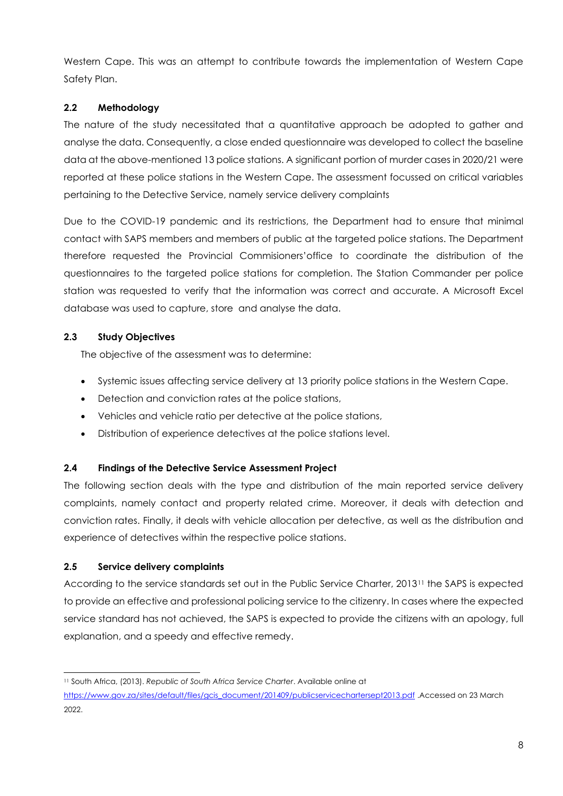Western Cape. This was an attempt to contribute towards the implementation of Western Cape Safety Plan.

# **2.2 Methodology**

The nature of the study necessitated that a quantitative approach be adopted to gather and analyse the data. Consequently, a close ended questionnaire was developed to collect the baseline data at the above-mentioned 13 police stations. A significant portion of murder cases in 2020/21 were reported at these police stations in the Western Cape. The assessment focussed on critical variables pertaining to the Detective Service, namely service delivery complaints

Due to the COVID-19 pandemic and its restrictions, the Department had to ensure that minimal contact with SAPS members and members of public at the targeted police stations. The Department therefore requested the Provincial Commisioners'office to coordinate the distribution of the questionnaires to the targeted police stations for completion. The Station Commander per police station was requested to verify that the information was correct and accurate. A Microsoft Excel database was used to capture, store and analyse the data.

# **2.3 Study Objectives**

The objective of the assessment was to determine:

- Systemic issues affecting service delivery at 13 priority police stations in the Western Cape.
- Detection and conviction rates at the police stations,
- Vehicles and vehicle ratio per detective at the police stations,
- Distribution of experience detectives at the police stations level.

# **2.4 Findings of the Detective Service Assessment Project**

The following section deals with the type and distribution of the main reported service delivery complaints, namely contact and property related crime. Moreover, it deals with detection and conviction rates. Finally, it deals with vehicle allocation per detective, as well as the distribution and experience of detectives within the respective police stations.

# **2.5 Service delivery complaints**

According to the service standards set out in the Public Service Charter, 2013<sup>11</sup> the SAPS is expected to provide an effective and professional policing service to the citizenry. In cases where the expected service standard has not achieved, the SAPS is expected to provide the citizens with an apology, full explanation, and a speedy and effective remedy.

<sup>11</sup> South Africa, (2013). *Republic of South Africa Service Charter*. Available online at

[https://www.gov.za/sites/default/files/gcis\\_document/201409/publicservicechartersept2013.pdf](https://eur03.safelinks.protection.outlook.com/?url=https%3A%2F%2Fwww.gov.za%2Fsites%2Fdefault%2Ffiles%2Fgcis_document%2F201409%2Fpublicservicechartersept2013.pdf&data=04%7C01%7CBhekithemba.Simelane%40westerncape.gov.za%7C6acd61a9c9364dd5826508da1245133e%7Cae74bf7fcfc34760a1fe0731afaa5502%7C0%7C0%7C637842385123010662%7CUnknown%7CTWFpbGZsb3d8eyJWIjoiMC4wLjAwMDAiLCJQIjoiV2luMzIiLCJBTiI6Ik1haWwiLCJXVCI6Mn0%3D%7C3000&sdata=aqOoesFiFZhpntk5DpnOs6KM4YlSARne94XjesXSl0E%3D&reserved=0) .Accessed on 23 March 2022.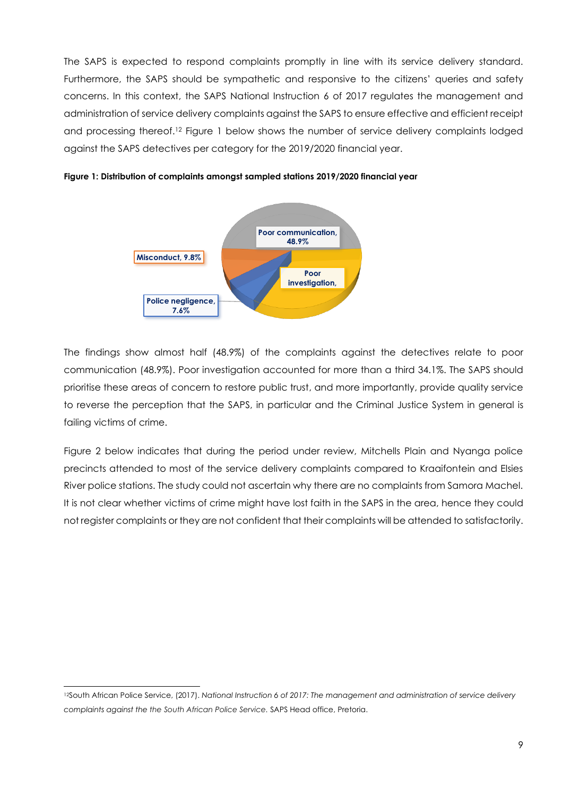The SAPS is expected to respond complaints promptly in line with its service delivery standard. Furthermore, the SAPS should be sympathetic and responsive to the citizens' queries and safety concerns. In this context, the SAPS National Instruction 6 of 2017 regulates the management and administration of service delivery complaints against the SAPS to ensure effective and efficient receipt and processing thereof. <sup>12</sup> Figure 1 below shows the number of service delivery complaints lodged against the SAPS detectives per category for the 2019/2020 financial year.



**Figure 1: Distribution of complaints amongst sampled stations 2019/2020 financial year**

The findings show almost half (48.9%) of the complaints against the detectives relate to poor communication (48.9%). Poor investigation accounted for more than a third 34.1%. The SAPS should prioritise these areas of concern to restore public trust, and more importantly, provide quality service to reverse the perception that the SAPS, in particular and the Criminal Justice System in general is failing victims of crime.

Figure 2 below indicates that during the period under review, Mitchells Plain and Nyanga police precincts attended to most of the service delivery complaints compared to Kraaifontein and Elsies River police stations. The study could not ascertain why there are no complaints from Samora Machel. It is not clear whether victims of crime might have lost faith in the SAPS in the area, hence they could not register complaints or they are not confident that their complaints will be attended to satisfactorily.

<sup>12</sup>South African Police Service, (2017). *National Instruction 6 of 2017: The management and administration of service delivery complaints against the the South African Police Service.* SAPS Head office, Pretoria.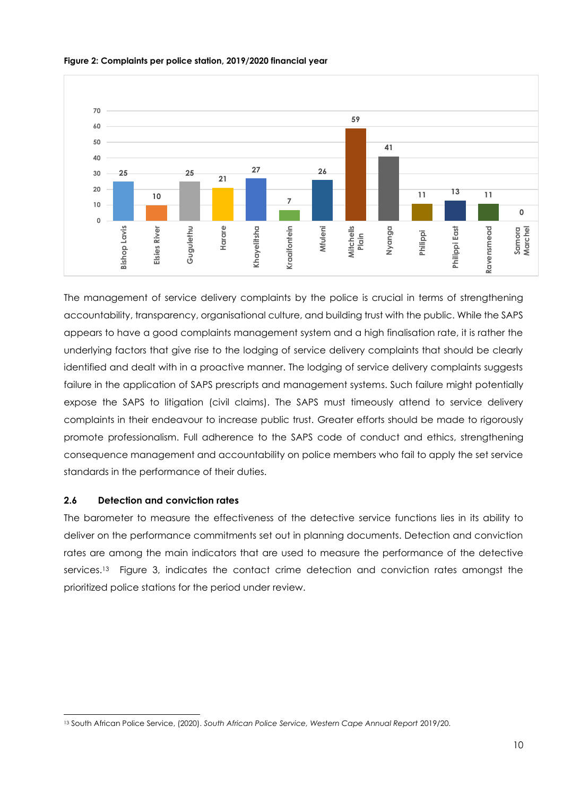

#### **Figure 2: Complaints per police station, 2019/2020 financial year**

The management of service delivery complaints by the police is crucial in terms of strengthening accountability, transparency, organisational culture, and building trust with the public. While the SAPS appears to have a good complaints management system and a high finalisation rate, it is rather the underlying factors that give rise to the lodging of service delivery complaints that should be clearly identified and dealt with in a proactive manner. The lodging of service delivery complaints suggests failure in the application of SAPS prescripts and management systems. Such failure might potentially expose the SAPS to litigation (civil claims). The SAPS must timeously attend to service delivery complaints in their endeavour to increase public trust. Greater efforts should be made to rigorously promote professionalism. Full adherence to the SAPS code of conduct and ethics, strengthening consequence management and accountability on police members who fail to apply the set service standards in the performance of their duties.

# **2.6 Detection and conviction rates**

The barometer to measure the effectiveness of the detective service functions lies in its ability to deliver on the performance commitments set out in planning documents. Detection and conviction rates are among the main indicators that are used to measure the performance of the detective services.<sup>13</sup> Figure 3, indicates the contact crime detection and conviction rates amongst the prioritized police stations for the period under review.

<sup>13</sup> South African Police Service, (2020). *South African Police Service, Western Cape Annual Report* 2019/20.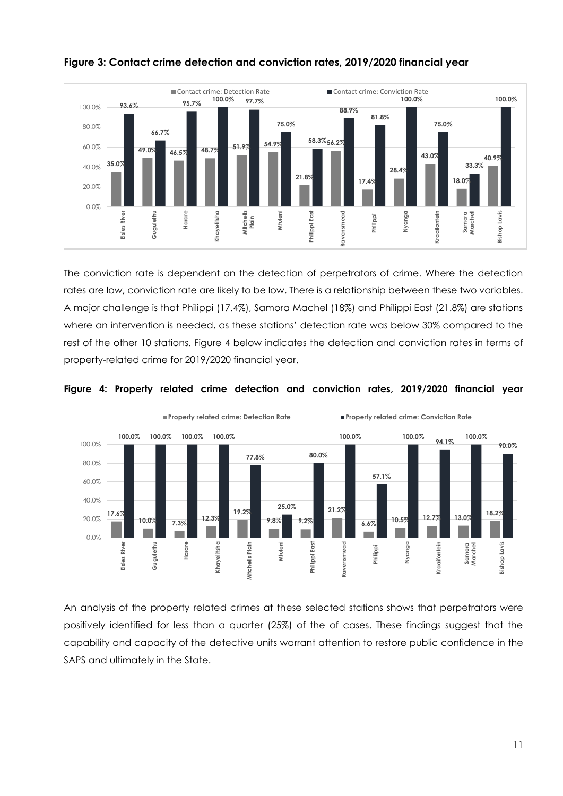

# **Figure 3: Contact crime detection and conviction rates, 2019/2020 financial year**

The conviction rate is dependent on the detection of perpetrators of crime. Where the detection rates are low, conviction rate are likely to be low. There is a relationship between these two variables. A major challenge is that Philippi (17.4%), Samora Machel (18%) and Philippi East (21.8%) are stations where an intervention is needed, as these stations' detection rate was below 30% compared to the rest of the other 10 stations. Figure 4 below indicates the detection and conviction rates in terms of property-related crime for 2019/2020 financial year.



**Figure 4: Property related crime detection and conviction rates, 2019/2020 financial year**

An analysis of the property related crimes at these selected stations shows that perpetrators were positively identified for less than a quarter (25%) of the of cases. These findings suggest that the capability and capacity of the detective units warrant attention to restore public confidence in the SAPS and ultimately in the State.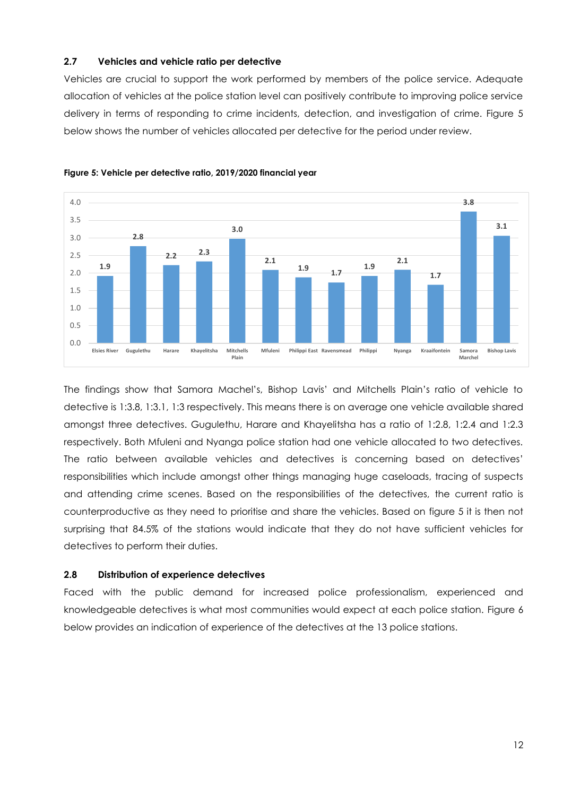#### **2.7 Vehicles and vehicle ratio per detective**

Vehicles are crucial to support the work performed by members of the police service. Adequate allocation of vehicles at the police station level can positively contribute to improving police service delivery in terms of responding to crime incidents, detection, and investigation of crime. Figure 5 below shows the number of vehicles allocated per detective for the period under review.





The findings show that Samora Machel's, Bishop Lavis' and Mitchells Plain's ratio of vehicle to detective is 1:3.8, 1:3.1, 1:3 respectively. This means there is on average one vehicle available shared amongst three detectives. Gugulethu, Harare and Khayelitsha has a ratio of 1:2.8, 1:2.4 and 1:2.3 respectively. Both Mfuleni and Nyanga police station had one vehicle allocated to two detectives. The ratio between available vehicles and detectives is concerning based on detectives' responsibilities which include amongst other things managing huge caseloads, tracing of suspects and attending crime scenes. Based on the responsibilities of the detectives, the current ratio is counterproductive as they need to prioritise and share the vehicles. Based on figure 5 it is then not surprising that 84.5% of the stations would indicate that they do not have sufficient vehicles for detectives to perform their duties.

#### **2.8 Distribution of experience detectives**

Faced with the public demand for increased police professionalism, experienced and knowledgeable detectives is what most communities would expect at each police station. Figure 6 below provides an indication of experience of the detectives at the 13 police stations.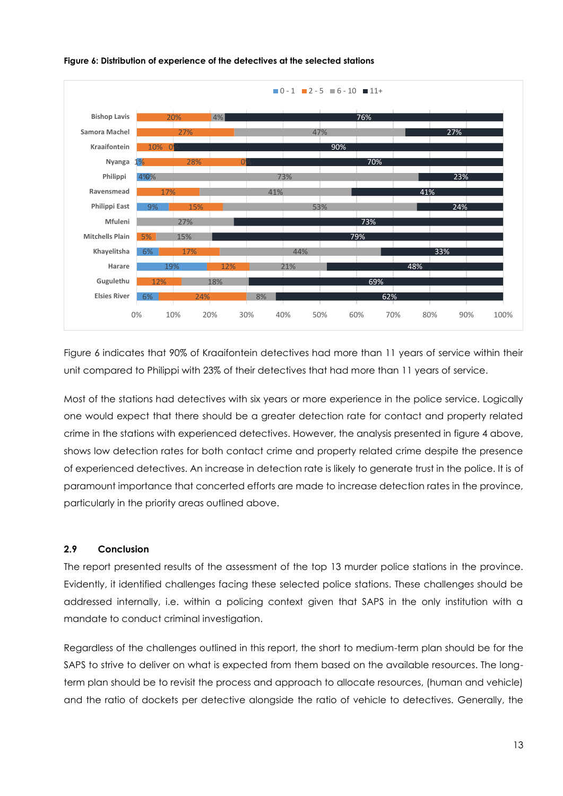

#### **Figure 6: Distribution of experience of the detectives at the selected stations**

Figure 6 indicates that 90% of Kraaifontein detectives had more than 11 years of service within their unit compared to Philippi with 23% of their detectives that had more than 11 years of service.

Most of the stations had detectives with six years or more experience in the police service. Logically one would expect that there should be a greater detection rate for contact and property related crime in the stations with experienced detectives. However, the analysis presented in figure 4 above, shows low detection rates for both contact crime and property related crime despite the presence of experienced detectives. An increase in detection rate is likely to generate trust in the police. It is of paramount importance that concerted efforts are made to increase detection rates in the province, particularly in the priority areas outlined above.

# **2.9 Conclusion**

The report presented results of the assessment of the top 13 murder police stations in the province. Evidently, it identified challenges facing these selected police stations. These challenges should be addressed internally, i.e. within a policing context given that SAPS in the only institution with a mandate to conduct criminal investigation.

Regardless of the challenges outlined in this report, the short to medium-term plan should be for the SAPS to strive to deliver on what is expected from them based on the available resources. The longterm plan should be to revisit the process and approach to allocate resources, (human and vehicle) and the ratio of dockets per detective alongside the ratio of vehicle to detectives. Generally, the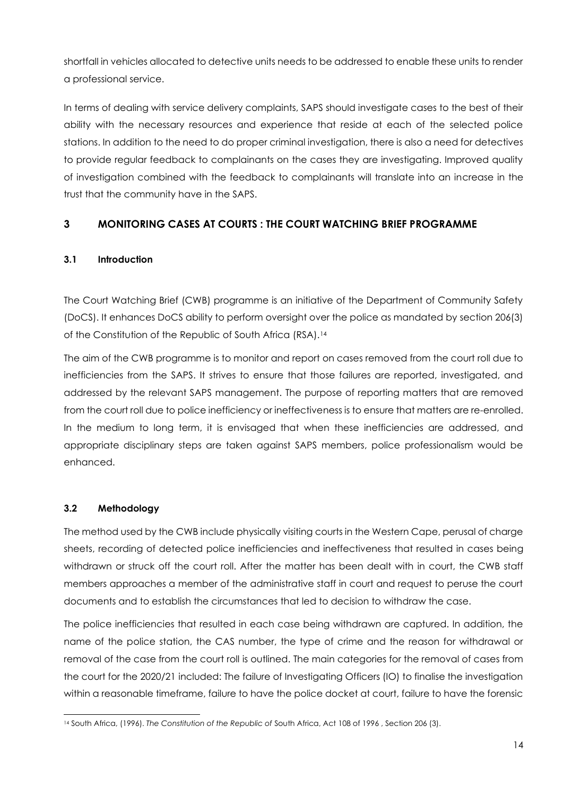shortfall in vehicles allocated to detective units needs to be addressed to enable these units to render a professional service.

In terms of dealing with service delivery complaints, SAPS should investigate cases to the best of their ability with the necessary resources and experience that reside at each of the selected police stations. In addition to the need to do proper criminal investigation, there is also a need for detectives to provide regular feedback to complainants on the cases they are investigating. Improved quality of investigation combined with the feedback to complainants will translate into an increase in the trust that the community have in the SAPS.

# <span id="page-13-0"></span>**3 MONITORING CASES AT COURTS : THE COURT WATCHING BRIEF PROGRAMME**

# **3.1 Introduction**

The Court Watching Brief (CWB) programme is an initiative of the Department of Community Safety (DoCS). It enhances DoCS ability to perform oversight over the police as mandated by section 206(3) of the Constitution of the Republic of South Africa (RSA).<sup>14</sup>

The aim of the CWB programme is to monitor and report on cases removed from the court roll due to inefficiencies from the SAPS. It strives to ensure that those failures are reported, investigated, and addressed by the relevant SAPS management. The purpose of reporting matters that are removed from the court roll due to police inefficiency or ineffectiveness is to ensure that matters are re-enrolled. In the medium to long term, it is envisaged that when these inefficiencies are addressed, and appropriate disciplinary steps are taken against SAPS members, police professionalism would be enhanced.

# **3.2 Methodology**

The method used by the CWB include physically visiting courts in the Western Cape, perusal of charge sheets, recording of detected police inefficiencies and ineffectiveness that resulted in cases being withdrawn or struck off the court roll. After the matter has been dealt with in court, the CWB staff members approaches a member of the administrative staff in court and request to peruse the court documents and to establish the circumstances that led to decision to withdraw the case.

The police inefficiencies that resulted in each case being withdrawn are captured. In addition, the name of the police station, the CAS number, the type of crime and the reason for withdrawal or removal of the case from the court roll is outlined. The main categories for the removal of cases from the court for the 2020/21 included: The failure of Investigating Officers (IO) to finalise the investigation within a reasonable timeframe, failure to have the police docket at court, failure to have the forensic

<sup>14</sup> South Africa, (1996). *The Constitution of the Republic of* South Africa, Act 108 of 1996 , Section 206 (3).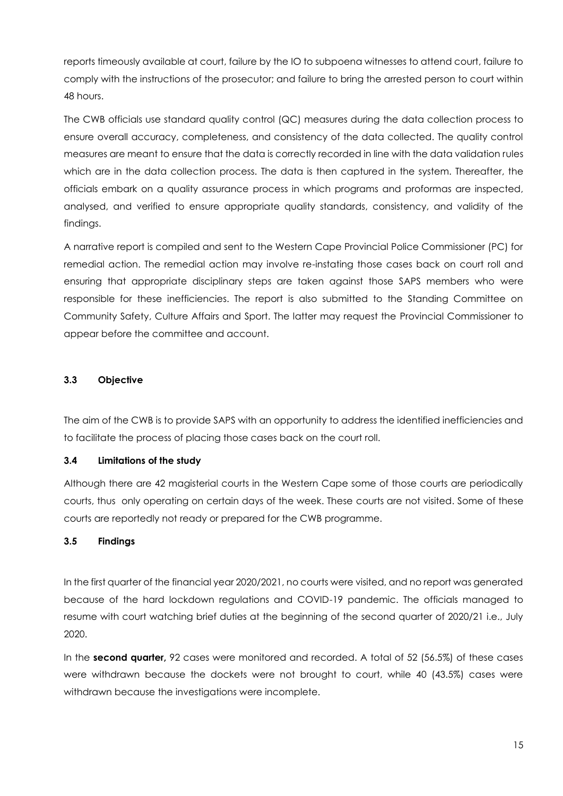reports timeously available at court, failure by the IO to subpoena witnesses to attend court, failure to comply with the instructions of the prosecutor; and failure to bring the arrested person to court within 48 hours.

The CWB officials use standard quality control (QC) measures during the data collection process to ensure overall accuracy, completeness, and consistency of the data collected. The quality control measures are meant to ensure that the data is correctly recorded in line with the data validation rules which are in the data collection process. The data is then captured in the system. Thereafter, the officials embark on a quality assurance process in which programs and proformas are inspected, analysed, and verified to ensure appropriate quality standards, consistency, and validity of the findings.

A narrative report is compiled and sent to the Western Cape Provincial Police Commissioner (PC) for remedial action. The remedial action may involve re-instating those cases back on court roll and ensuring that appropriate disciplinary steps are taken against those SAPS members who were responsible for these inefficiencies. The report is also submitted to the Standing Committee on Community Safety, Culture Affairs and Sport. The latter may request the Provincial Commissioner to appear before the committee and account.

# **3.3 Objective**

The aim of the CWB is to provide SAPS with an opportunity to address the identified inefficiencies and to facilitate the process of placing those cases back on the court roll.

# **3.4 Limitations of the study**

Although there are 42 magisterial courts in the Western Cape some of those courts are periodically courts, thus only operating on certain days of the week. These courts are not visited. Some of these courts are reportedly not ready or prepared for the CWB programme.

#### **3.5 Findings**

In the first quarter of the financial year 2020/2021, no courts were visited, and no report was generated because of the hard lockdown regulations and COVID-19 pandemic. The officials managed to resume with court watching brief duties at the beginning of the second quarter of 2020/21 i.e., July 2020.

In the **second quarter,** 92 cases were monitored and recorded. A total of 52 (56.5%) of these cases were withdrawn because the dockets were not brought to court, while 40 (43.5%) cases were withdrawn because the investigations were incomplete.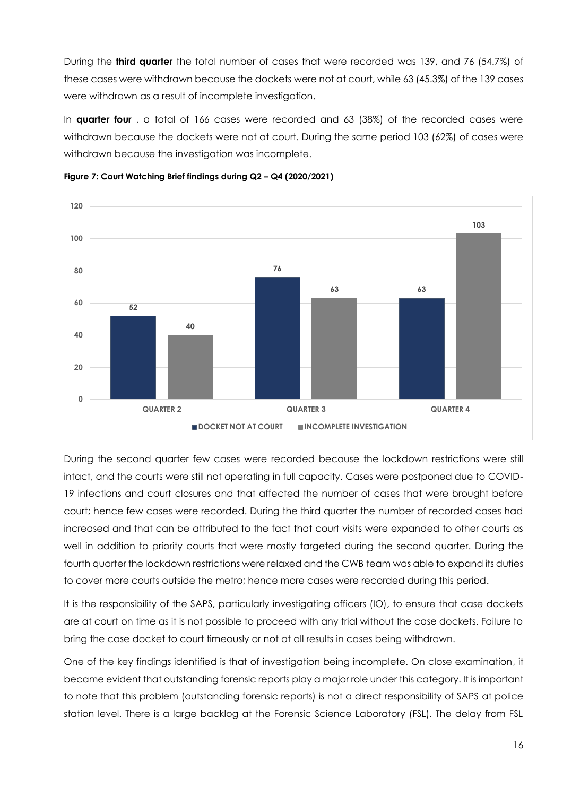During the **third quarter** the total number of cases that were recorded was 139, and 76 (54.7%) of these cases were withdrawn because the dockets were not at court, while 63 (45.3%) of the 139 cases were withdrawn as a result of incomplete investigation.

In **quarter four** , a total of 166 cases were recorded and 63 (38%) of the recorded cases were withdrawn because the dockets were not at court. During the same period 103 (62%) of cases were withdrawn because the investigation was incomplete.





During the second quarter few cases were recorded because the lockdown restrictions were still intact, and the courts were still not operating in full capacity. Cases were postponed due to COVID-19 infections and court closures and that affected the number of cases that were brought before court; hence few cases were recorded. During the third quarter the number of recorded cases had increased and that can be attributed to the fact that court visits were expanded to other courts as well in addition to priority courts that were mostly targeted during the second quarter. During the fourth quarter the lockdown restrictions were relaxed and the CWB team was able to expand its duties to cover more courts outside the metro; hence more cases were recorded during this period.

It is the responsibility of the SAPS, particularly investigating officers (IO), to ensure that case dockets are at court on time as it is not possible to proceed with any trial without the case dockets. Failure to bring the case docket to court timeously or not at all results in cases being withdrawn.

One of the key findings identified is that of investigation being incomplete. On close examination, it became evident that outstanding forensic reports play a major role under this category. It is important to note that this problem (outstanding forensic reports) is not a direct responsibility of SAPS at police station level. There is a large backlog at the Forensic Science Laboratory (FSL). The delay from FSL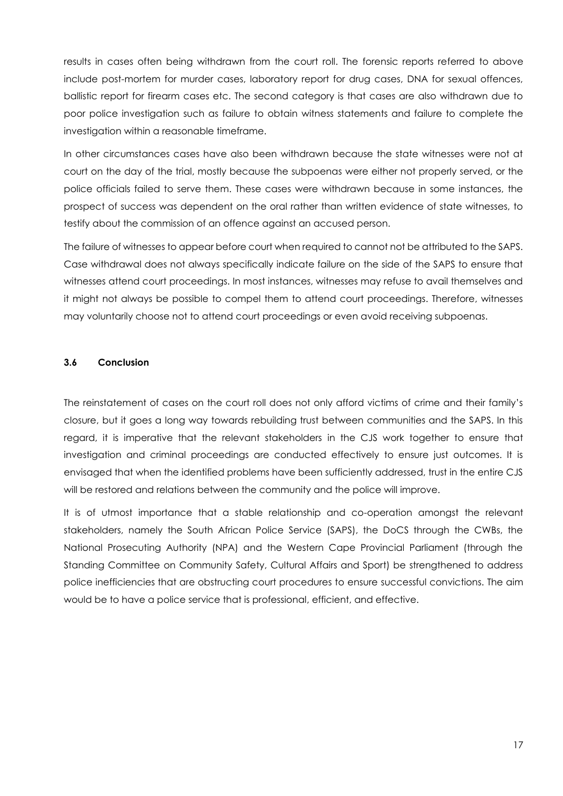results in cases often being withdrawn from the court roll. The forensic reports referred to above include post-mortem for murder cases, laboratory report for drug cases, DNA for sexual offences, ballistic report for firearm cases etc. The second category is that cases are also withdrawn due to poor police investigation such as failure to obtain witness statements and failure to complete the investigation within a reasonable timeframe.

In other circumstances cases have also been withdrawn because the state witnesses were not at court on the day of the trial, mostly because the subpoenas were either not properly served, or the police officials failed to serve them. These cases were withdrawn because in some instances, the prospect of success was dependent on the oral rather than written evidence of state witnesses, to testify about the commission of an offence against an accused person.

The failure of witnesses to appear before court when required to cannot not be attributed to the SAPS. Case withdrawal does not always specifically indicate failure on the side of the SAPS to ensure that witnesses attend court proceedings. In most instances, witnesses may refuse to avail themselves and it might not always be possible to compel them to attend court proceedings. Therefore, witnesses may voluntarily choose not to attend court proceedings or even avoid receiving subpoenas.

# **3.6 Conclusion**

The reinstatement of cases on the court roll does not only afford victims of crime and their family's closure, but it goes a long way towards rebuilding trust between communities and the SAPS. In this regard, it is imperative that the relevant stakeholders in the CJS work together to ensure that investigation and criminal proceedings are conducted effectively to ensure just outcomes. It is envisaged that when the identified problems have been sufficiently addressed, trust in the entire CJS will be restored and relations between the community and the police will improve.

It is of utmost importance that a stable relationship and co-operation amongst the relevant stakeholders, namely the South African Police Service (SAPS), the DoCS through the CWBs, the National Prosecuting Authority (NPA) and the Western Cape Provincial Parliament (through the Standing Committee on Community Safety, Cultural Affairs and Sport) be strengthened to address police inefficiencies that are obstructing court procedures to ensure successful convictions. The aim would be to have a police service that is professional, efficient, and effective.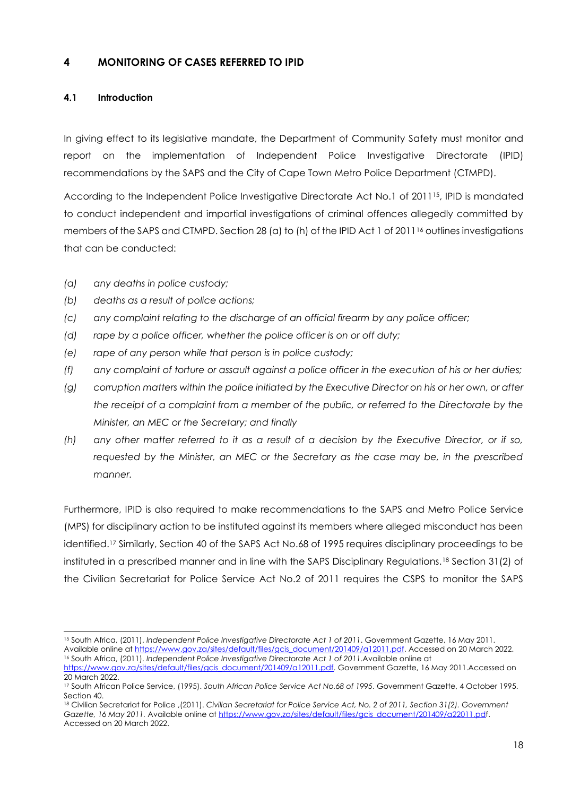# <span id="page-17-0"></span>**4 MONITORING OF CASES REFERRED TO IPID**

# **4.1 Introduction**

In giving effect to its legislative mandate, the Department of Community Safety must monitor and report on the implementation of Independent Police Investigative Directorate (IPID) recommendations by the SAPS and the City of Cape Town Metro Police Department (CTMPD).

According to the Independent Police Investigative Directorate Act No.1 of 2011<sup>15</sup>, IPID is mandated to conduct independent and impartial investigations of criminal offences allegedly committed by members of the SAPS and CTMPD. Section 28 (a) to (h) of the IPID Act 1 of 2011<sup>6</sup> outlines investigations that can be conducted:

- *(a) any deaths in police custody;*
- *(b) deaths as a result of police actions;*
- *(c) any complaint relating to the discharge of an official firearm by any police officer;*
- *(d) rape by a police officer, whether the police officer is on or off duty;*
- *(e) rape of any person while that person is in police custody;*
- *(f) any complaint of torture or assault against a police officer in the execution of his or her duties;*
- *(g) corruption matters within the police initiated by the Executive Director on his or her own, or after the receipt of a complaint from a member of the public, or referred to the Directorate by the Minister, an MEC or the Secretary; and finally*
- *(h) any other matter referred to it as a result of a decision by the Executive Director, or if so, requested by the Minister, an MEC or the Secretary as the case may be, in the prescribed manner.*

Furthermore, IPID is also required to make recommendations to the SAPS and Metro Police Service (MPS) for disciplinary action to be instituted against its members where alleged misconduct has been identified.<sup>17</sup> Similarly, Section 40 of the SAPS Act No.68 of 1995 requires disciplinary proceedings to be instituted in a prescribed manner and in line with the SAPS Disciplinary Regulations.<sup>18</sup> Section 31(2) of the Civilian Secretariat for Police Service Act No.2 of 2011 requires the CSPS to monitor the SAPS

<sup>15</sup> South Africa, (2011). *Independent Police Investigative Directorate Act 1 of 2011*. Government Gazette, 16 May 2011. Available online a[t https://www.gov.za/sites/default/files/gcis\\_document/201409/a12011.pdf.](https://www.gov.za/sites/default/files/gcis_document/201409/a12011.pdf) Accessed on 20 March 2022.

<sup>16</sup> South Africa, (2011). *Independent Police Investigative Directorate Act 1 of 2011*.Available online at [https://www.gov.za/sites/default/files/gcis\\_document/201409/a12011.pdf.](https://www.gov.za/sites/default/files/gcis_document/201409/a12011.pdf) Government Gazette, 16 May 2011.Accessed on 20 March 2022.

<sup>17</sup> South African Police Service, (1995). *South African Police Service Act No.68 of 1995*. Government Gazette, 4 October 1995. Section 40.

<sup>18</sup> Civilian Secretariat for Police ,(2011). *Civilian Secretariat for Police Service Act, No. 2 of 2011, Section 31(2). Government Gazette, 16 May 2011.* Available online a[t https://www.gov.za/sites/default/files/gcis\\_document/201409/a22011.pdf](https://www.gov.za/sites/default/files/gcis_document/201409/a22011.pd). Accessed on 20 March 2022.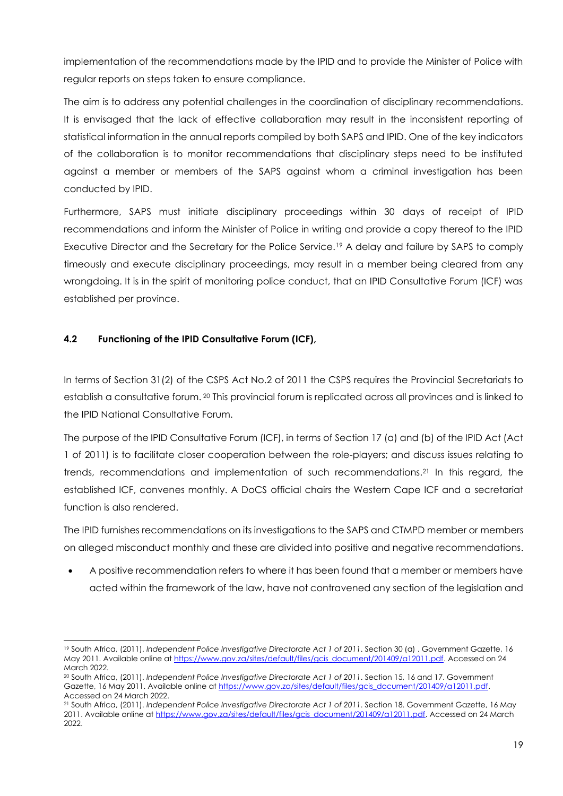implementation of the recommendations made by the IPID and to provide the Minister of Police with regular reports on steps taken to ensure compliance.

The aim is to address any potential challenges in the coordination of disciplinary recommendations. It is envisaged that the lack of effective collaboration may result in the inconsistent reporting of statistical information in the annual reports compiled by both SAPS and IPID. One of the key indicators of the collaboration is to monitor recommendations that disciplinary steps need to be instituted against a member or members of the SAPS against whom a criminal investigation has been conducted by IPID.

Furthermore, SAPS must initiate disciplinary proceedings within 30 days of receipt of IPID recommendations and inform the Minister of Police in writing and provide a copy thereof to the IPID Executive Director and the Secretary for the Police Service.<sup>19</sup> A delay and failure by SAPS to comply timeously and execute disciplinary proceedings, may result in a member being cleared from any wrongdoing. It is in the spirit of monitoring police conduct, that an IPID Consultative Forum (ICF) was established per province.

# **4.2 Functioning of the IPID Consultative Forum (ICF),**

In terms of Section 31(2) of the CSPS Act No.2 of 2011 the CSPS requires the Provincial Secretariats to establish a consultative forum. <sup>20</sup> This provincial forum is replicated across all provinces and is linked to the IPID National Consultative Forum.

The purpose of the IPID Consultative Forum (ICF), in terms of Section 17 (a) and (b) of the IPID Act (Act 1 of 2011) is to facilitate closer cooperation between the role-players; and discuss issues relating to trends, recommendations and implementation of such recommendations.<sup>21</sup> In this regard, the established ICF, convenes monthly. A DoCS official chairs the Western Cape ICF and a secretariat function is also rendered.

The IPID furnishes recommendations on its investigations to the SAPS and CTMPD member or members on alleged misconduct monthly and these are divided into positive and negative recommendations.

• A positive recommendation refers to where it has been found that a member or members have acted within the framework of the law, have not contravened any section of the legislation and

<sup>19</sup> South Africa, (2011). *Independent Police Investigative Directorate Act 1 of 2011*. Section 30 (a) . Government Gazette, 16 May 2011. Available online at [https://www.gov.za/sites/default/files/gcis\\_document/201409/a12011.pdf.](https://www.gov.za/sites/default/files/gcis_document/201409/a12011.pdf) Accessed on 24 March 2022.

<sup>20</sup> South Africa, (2011). *Independent Police Investigative Directorate Act 1 of 2011*. Section 15, 16 and 17. Government Gazette, 16 May 2011. Available online at [https://www.gov.za/sites/default/files/gcis\\_document/201409/a12011.pdf.](https://www.gov.za/sites/default/files/gcis_document/201409/a12011.pdf) Accessed on 24 March 2022.

<sup>21</sup> South Africa, (2011). *Independent Police Investigative Directorate Act 1 of 2011*. Section 18. Government Gazette, 16 May 2011. Available online a[t https://www.gov.za/sites/default/files/gcis\\_document/201409/a12011.pdf.](https://www.gov.za/sites/default/files/gcis_document/201409/a12011.pdf) Accessed on 24 March 2022.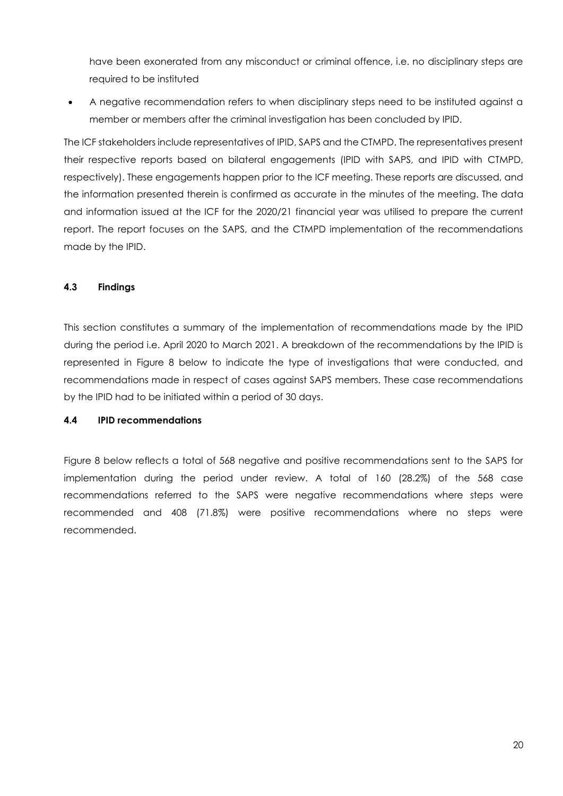have been exonerated from any misconduct or criminal offence, i.e. no disciplinary steps are required to be instituted

• A negative recommendation refers to when disciplinary steps need to be instituted against a member or members after the criminal investigation has been concluded by IPID.

The ICF stakeholders include representatives of IPID, SAPS and the CTMPD. The representatives present their respective reports based on bilateral engagements (IPID with SAPS, and IPID with CTMPD, respectively). These engagements happen prior to the ICF meeting. These reports are discussed, and the information presented therein is confirmed as accurate in the minutes of the meeting. The data and information issued at the ICF for the 2020/21 financial year was utilised to prepare the current report. The report focuses on the SAPS, and the CTMPD implementation of the recommendations made by the IPID.

#### **4.3 Findings**

This section constitutes a summary of the implementation of recommendations made by the IPID during the period i.e. April 2020 to March 2021. A breakdown of the recommendations by the IPID is represented in Figure 8 below to indicate the type of investigations that were conducted, and recommendations made in respect of cases against SAPS members. These case recommendations by the IPID had to be initiated within a period of 30 days.

#### **4.4 IPID recommendations**

Figure 8 below reflects a total of 568 negative and positive recommendations sent to the SAPS for implementation during the period under review. A total of 160 (28.2%) of the 568 case recommendations referred to the SAPS were negative recommendations where steps were recommended and 408 (71.8%) were positive recommendations where no steps were recommended.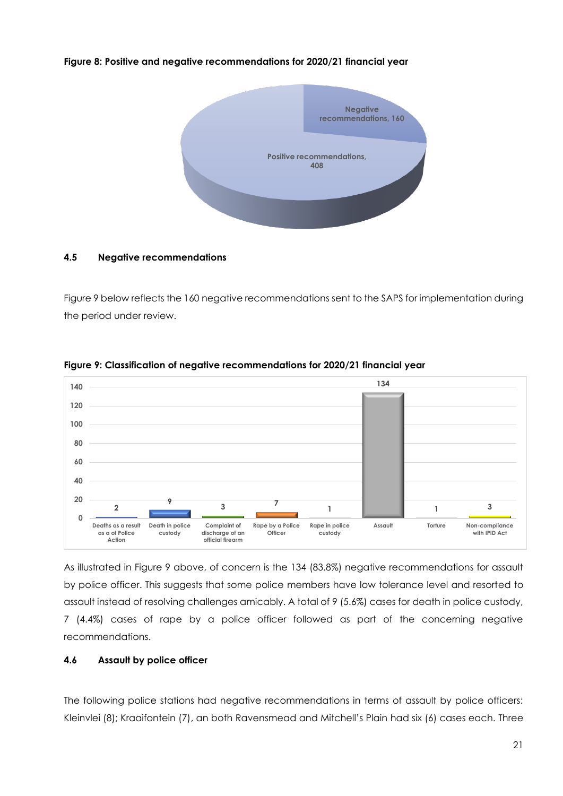#### **Figure 8: Positive and negative recommendations for 2020/21 financial year**



#### **4.5 Negative recommendations**

Figure 9 below reflects the 160 negative recommendations sent to the SAPS for implementation during the period under review.



#### **Figure 9: Classification of negative recommendations for 2020/21 financial year**

As illustrated in Figure 9 above, of concern is the 134 (83.8%) negative recommendations for assault by police officer. This suggests that some police members have low tolerance level and resorted to assault instead of resolving challenges amicably. A total of 9 (5.6%) cases for death in police custody, 7 (4.4%) cases of rape by a police officer followed as part of the concerning negative recommendations.

#### **4.6 Assault by police officer**

The following police stations had negative recommendations in terms of assault by police officers: Kleinvlei (8); Kraaifontein (7), an both Ravensmead and Mitchell's Plain had six (6) cases each. Three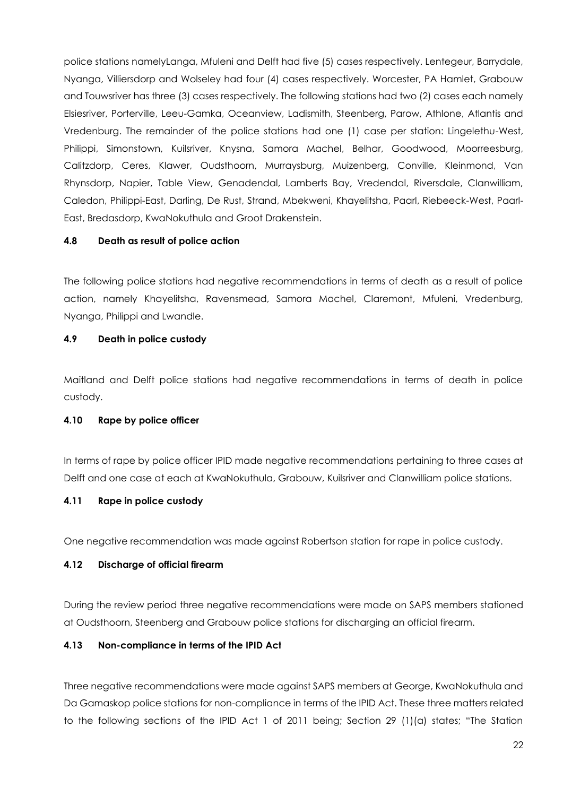police stations namelyLanga, Mfuleni and Delft had five (5) cases respectively. Lentegeur, Barrydale, Nyanga, Villiersdorp and Wolseley had four (4) cases respectively. Worcester, PA Hamlet, Grabouw and Touwsriver has three (3) cases respectively. The following stations had two (2) cases each namely Elsiesriver, Porterville, Leeu-Gamka, Oceanview, Ladismith, Steenberg, Parow, Athlone, Atlantis and Vredenburg. The remainder of the police stations had one (1) case per station: Lingelethu-West, Philippi, Simonstown, Kuilsriver, Knysna, Samora Machel, Belhar, Goodwood, Moorreesburg, Calitzdorp, Ceres, Klawer, Oudsthoorn, Murraysburg, Muizenberg, Conville, Kleinmond, Van Rhynsdorp, Napier, Table View, Genadendal, Lamberts Bay, Vredendal, Riversdale, Clanwilliam, Caledon, Philippi-East, Darling, De Rust, Strand, Mbekweni, Khayelitsha, Paarl, Riebeeck-West, Paarl-East, Bredasdorp, KwaNokuthula and Groot Drakenstein.

#### **4.8 Death as result of police action**

The following police stations had negative recommendations in terms of death as a result of police action, namely Khayelitsha, Ravensmead, Samora Machel, Claremont, Mfuleni, Vredenburg, Nyanga, Philippi and Lwandle.

#### **4.9 Death in police custody**

Maitland and Delft police stations had negative recommendations in terms of death in police custody.

#### **4.10 Rape by police officer**

In terms of rape by police officer IPID made negative recommendations pertaining to three cases at Delft and one case at each at KwaNokuthula, Grabouw, Kuilsriver and Clanwilliam police stations.

#### **4.11 Rape in police custody**

One negative recommendation was made against Robertson station for rape in police custody.

#### **4.12 Discharge of official firearm**

During the review period three negative recommendations were made on SAPS members stationed at Oudsthoorn, Steenberg and Grabouw police stations for discharging an official firearm.

# **4.13 Non-compliance in terms of the IPID Act**

Three negative recommendations were made against SAPS members at George, KwaNokuthula and Da Gamaskop police stations for non-compliance in terms of the IPID Act. These three matters related to the following sections of the IPID Act 1 of 2011 being; Section 29 (1)(a) states; "The Station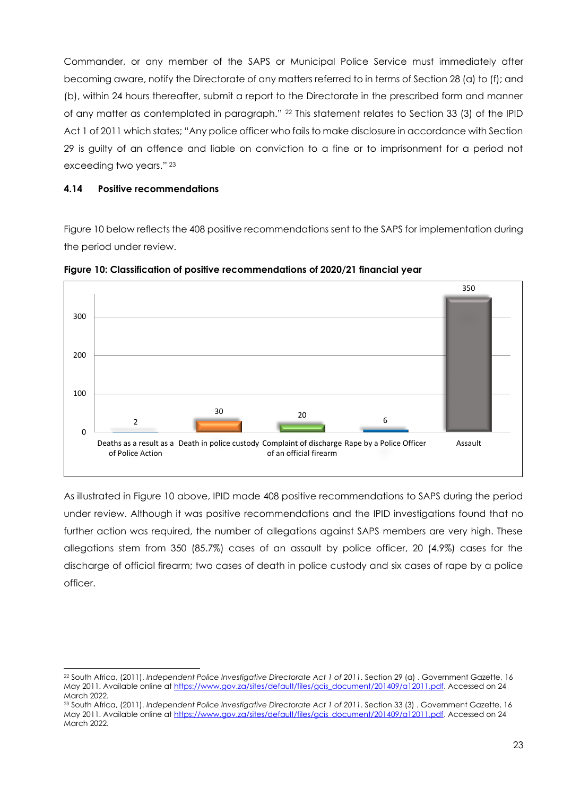Commander, or any member of the SAPS or Municipal Police Service must immediately after becoming aware, notify the Directorate of any matters referred to in terms of Section 28 (a) to (f); and (b), within 24 hours thereafter, submit a report to the Directorate in the prescribed form and manner of any matter as contemplated in paragraph." <sup>22</sup> This statement relates to Section 33 (3) of the IPID Act 1 of 2011 which states; "Any police officer who fails to make disclosure in accordance with Section 29 is guilty of an offence and liable on conviction to a fine or to imprisonment for a period not exceeding two years." <sup>23</sup>

#### **4.14 Positive recommendations**

Figure 10 below reflects the 408 positive recommendations sent to the SAPS for implementation during the period under review.



**Figure 10: Classification of positive recommendations of 2020/21 financial year**

As illustrated in Figure 10 above, IPID made 408 positive recommendations to SAPS during the period under review. Although it was positive recommendations and the IPID investigations found that no further action was required, the number of allegations against SAPS members are very high. These allegations stem from 350 (85.7%) cases of an assault by police officer, 20 (4.9%) cases for the discharge of official firearm; two cases of death in police custody and six cases of rape by a police officer.

<sup>22</sup> South Africa, (2011). *Independent Police Investigative Directorate Act 1 of 2011*. Section 29 (a) . Government Gazette, 16 May 2011. Available online at [https://www.gov.za/sites/default/files/gcis\\_document/201409/a12011.pdf.](https://www.gov.za/sites/default/files/gcis_document/201409/a12011.pdf) Accessed on 24 March 2022.

<sup>23</sup> South Africa, (2011). *Independent Police Investigative Directorate Act 1 of 2011*. Section 33 (3) . Government Gazette, 16 May 2011. Available online at [https://www.gov.za/sites/default/files/gcis\\_document/201409/a12011.pdf.](https://www.gov.za/sites/default/files/gcis_document/201409/a12011.pdf) Accessed on 24 March 2022.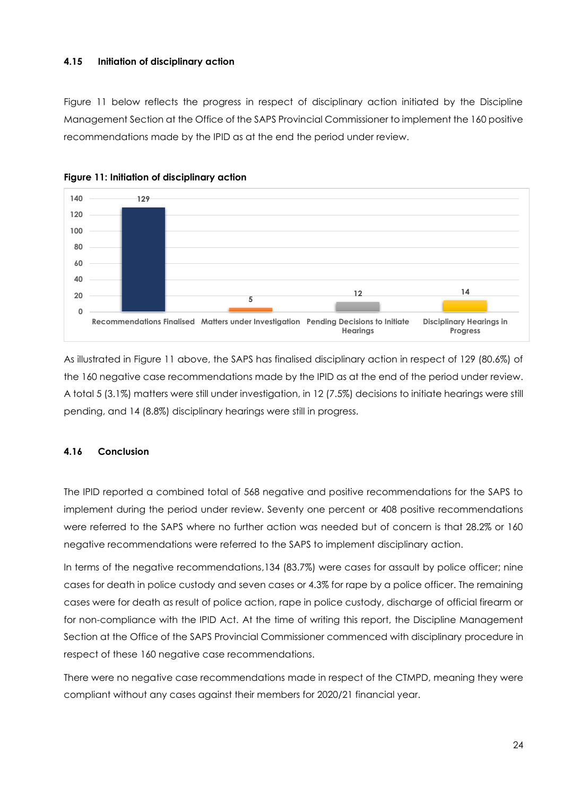#### **4.15 Initiation of disciplinary action**

Figure 11 below reflects the progress in respect of disciplinary action initiated by the Discipline Management Section at the Office of the SAPS Provincial Commissioner to implement the 160 positive recommendations made by the IPID as at the end the period under review.





As illustrated in Figure 11 above, the SAPS has finalised disciplinary action in respect of 129 (80.6%) of the 160 negative case recommendations made by the IPID as at the end of the period under review. A total 5 (3.1%) matters were still under investigation, in 12 (7.5%) decisions to initiate hearings were still pending, and 14 (8.8%) disciplinary hearings were still in progress.

# **4.16 Conclusion**

The IPID reported a combined total of 568 negative and positive recommendations for the SAPS to implement during the period under review. Seventy one percent or 408 positive recommendations were referred to the SAPS where no further action was needed but of concern is that 28.2% or 160 negative recommendations were referred to the SAPS to implement disciplinary action.

In terms of the negative recommendations,134 (83.7%) were cases for assault by police officer; nine cases for death in police custody and seven cases or 4.3% for rape by a police officer. The remaining cases were for death as result of police action, rape in police custody, discharge of official firearm or for non-compliance with the IPID Act. At the time of writing this report, the Discipline Management Section at the Office of the SAPS Provincial Commissioner commenced with disciplinary procedure in respect of these 160 negative case recommendations.

There were no negative case recommendations made in respect of the CTMPD, meaning they were compliant without any cases against their members for 2020/21 financial year.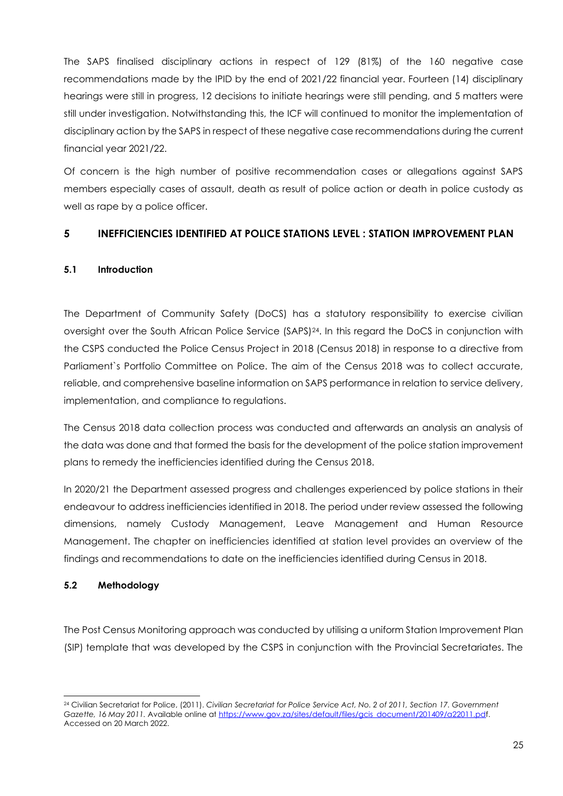The SAPS finalised disciplinary actions in respect of 129 (81%) of the 160 negative case recommendations made by the IPID by the end of 2021/22 financial year. Fourteen (14) disciplinary hearings were still in progress, 12 decisions to initiate hearings were still pending, and 5 matters were still under investigation. Notwithstanding this, the ICF will continued to monitor the implementation of disciplinary action by the SAPS in respect of these negative case recommendations during the current financial year 2021/22.

Of concern is the high number of positive recommendation cases or allegations against SAPS members especially cases of assault, death as result of police action or death in police custody as well as rape by a police officer.

# <span id="page-24-0"></span>**5 INEFFICIENCIES IDENTIFIED AT POLICE STATIONS LEVEL : STATION IMPROVEMENT PLAN**

# **5.1 Introduction**

The Department of Community Safety (DoCS) has a statutory responsibility to exercise civilian oversight over the South African Police Service (SAPS)24. In this regard the DoCS in conjunction with the CSPS conducted the Police Census Project in 2018 (Census 2018) in response to a directive from Parliament`s Portfolio Committee on Police. The aim of the Census 2018 was to collect accurate, reliable, and comprehensive baseline information on SAPS performance in relation to service delivery, implementation, and compliance to regulations.

The Census 2018 data collection process was conducted and afterwards an analysis an analysis of the data was done and that formed the basis for the development of the police station improvement plans to remedy the inefficiencies identified during the Census 2018.

In 2020/21 the Department assessed progress and challenges experienced by police stations in their endeavour to address inefficiencies identified in 2018. The period under review assessed the following dimensions, namely Custody Management, Leave Management and Human Resource Management. The chapter on inefficiencies identified at station level provides an overview of the findings and recommendations to date on the inefficiencies identified during Census in 2018.

# **5.2 Methodology**

The Post Census Monitoring approach was conducted by utilising a uniform Station Improvement Plan (SIP) template that was developed by the CSPS in conjunction with the Provincial Secretariates. The

<sup>24</sup> Civilian Secretariat for Police, (2011). *Civilian Secretariat for Police Service Act, No. 2 of 2011, Section 17. Government Gazette, 16 May 2011.* Available online a[t https://www.gov.za/sites/default/files/gcis\\_document/201409/a22011.pdf](https://www.gov.za/sites/default/files/gcis_document/201409/a22011.pd). Accessed on 20 March 2022.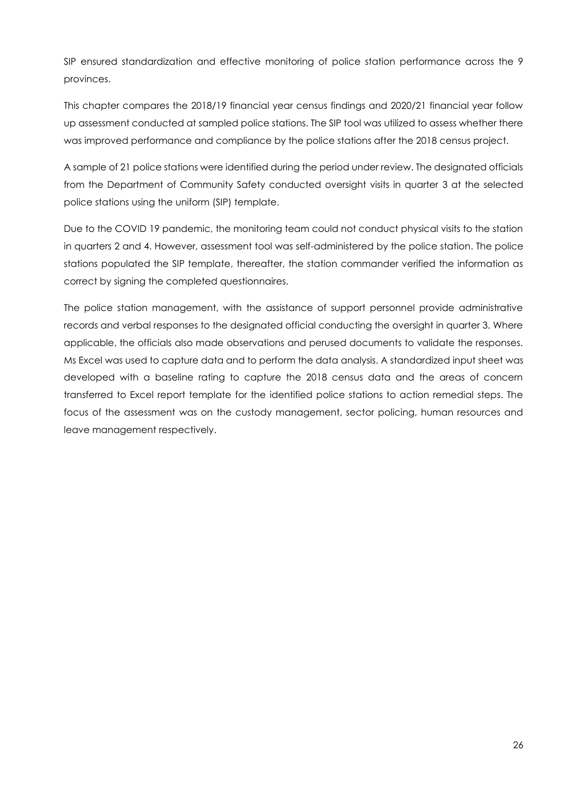SIP ensured standardization and effective monitoring of police station performance across the 9 provinces.

This chapter compares the 2018/19 financial year census findings and 2020/21 financial year follow up assessment conducted at sampled police stations. The SIP tool was utilized to assess whether there was improved performance and compliance by the police stations after the 2018 census project.

A sample of 21 police stations were identified during the period under review. The designated officials from the Department of Community Safety conducted oversight visits in quarter 3 at the selected police stations using the uniform (SIP) template.

Due to the COVID 19 pandemic, the monitoring team could not conduct physical visits to the station in quarters 2 and 4. However, assessment tool was self-administered by the police station. The police stations populated the SIP template, thereafter, the station commander verified the information as correct by signing the completed questionnaires.

The police station management, with the assistance of support personnel provide administrative records and verbal responses to the designated official conducting the oversight in quarter 3. Where applicable, the officials also made observations and perused documents to validate the responses. Ms Excel was used to capture data and to perform the data analysis. A standardized input sheet was developed with a baseline rating to capture the 2018 census data and the areas of concern transferred to Excel report template for the identified police stations to action remedial steps. The focus of the assessment was on the custody management, sector policing, human resources and leave management respectively.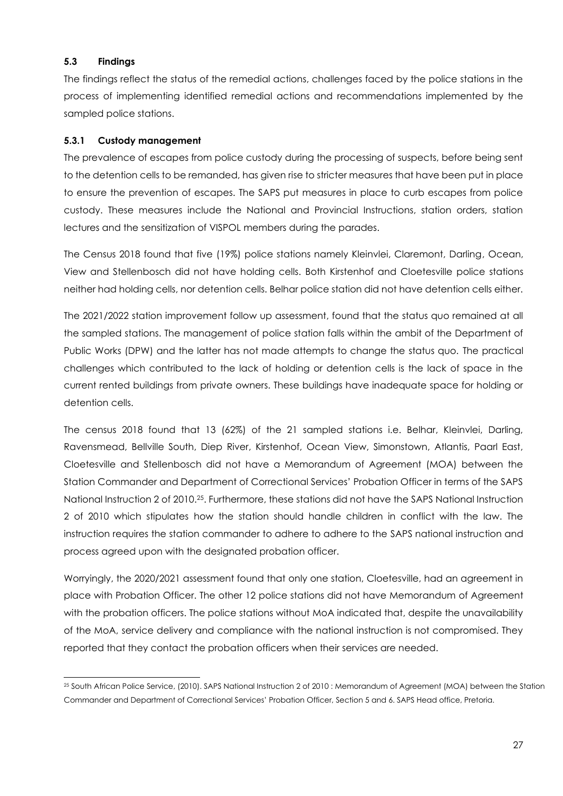#### **5.3 Findings**

The findings reflect the status of the remedial actions, challenges faced by the police stations in the process of implementing identified remedial actions and recommendations implemented by the sampled police stations.

# **5.3.1 Custody management**

The prevalence of escapes from police custody during the processing of suspects, before being sent to the detention cells to be remanded, has given rise to stricter measures that have been put in place to ensure the prevention of escapes. The SAPS put measures in place to curb escapes from police custody. These measures include the National and Provincial Instructions, station orders, station lectures and the sensitization of VISPOL members during the parades.

The Census 2018 found that five (19%) police stations namely Kleinvlei, Claremont, Darling, Ocean, View and Stellenbosch did not have holding cells. Both Kirstenhof and Cloetesville police stations neither had holding cells, nor detention cells. Belhar police station did not have detention cells either.

The 2021/2022 station improvement follow up assessment, found that the status quo remained at all the sampled stations. The management of police station falls within the ambit of the Department of Public Works (DPW) and the latter has not made attempts to change the status quo. The practical challenges which contributed to the lack of holding or detention cells is the lack of space in the current rented buildings from private owners. These buildings have inadequate space for holding or detention cells.

The census 2018 found that 13 (62%) of the 21 sampled stations i.e. Belhar, Kleinvlei, Darling, Ravensmead, Bellville South, Diep River, Kirstenhof, Ocean View, Simonstown, Atlantis, Paarl East, Cloetesville and Stellenbosch did not have a Memorandum of Agreement (MOA) between the Station Commander and Department of Correctional Services' Probation Officer in terms of the SAPS National Instruction 2 of 2010.25. Furthermore, these stations did not have the SAPS National Instruction 2 of 2010 which stipulates how the station should handle children in conflict with the law. The instruction requires the station commander to adhere to adhere to the SAPS national instruction and process agreed upon with the designated probation officer.

Worryingly, the 2020/2021 assessment found that only one station, Cloetesville, had an agreement in place with Probation Officer. The other 12 police stations did not have Memorandum of Agreement with the probation officers. The police stations without MoA indicated that, despite the unavailability of the MoA, service delivery and compliance with the national instruction is not compromised. They reported that they contact the probation officers when their services are needed.

<sup>25</sup> South African Police Service, (2010). SAPS National Instruction 2 of 2010 : Memorandum of Agreement (MOA) between the Station Commander and Department of Correctional Services' Probation Officer, Section 5 and 6. SAPS Head office, Pretoria.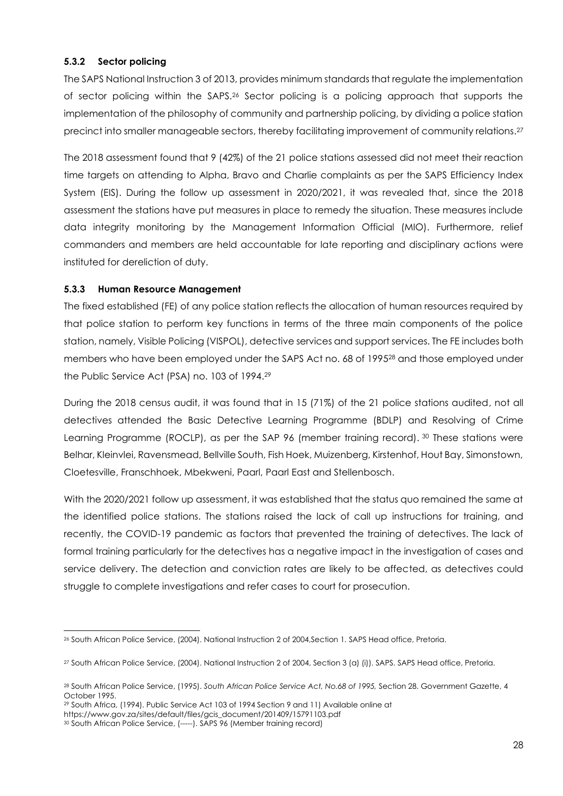# **5.3.2 Sector policing**

The SAPS National Instruction 3 of 2013, provides minimum standards that regulate the implementation of sector policing within the SAPS.<sup>26</sup> Sector policing is a policing approach that supports the implementation of the philosophy of community and partnership policing, by dividing a police station precinct into smaller manageable sectors, thereby facilitating improvement of community relations.<sup>27</sup>

The 2018 assessment found that 9 (42%) of the 21 police stations assessed did not meet their reaction time targets on attending to Alpha, Bravo and Charlie complaints as per the SAPS Efficiency Index System (EIS). During the follow up assessment in 2020/2021, it was revealed that, since the 2018 assessment the stations have put measures in place to remedy the situation. These measures include data integrity monitoring by the Management Information Official (MIO). Furthermore, relief commanders and members are held accountable for late reporting and disciplinary actions were instituted for dereliction of duty.

#### **5.3.3 Human Resource Management**

The fixed established (FE) of any police station reflects the allocation of human resources required by that police station to perform key functions in terms of the three main components of the police station, namely, Visible Policing (VISPOL), detective services and support services. The FE includes both members who have been employed under the SAPS Act no. 68 of 1995<sup>28</sup> and those employed under the Public Service Act (PSA) no. 103 of 1994. 29

During the 2018 census audit, it was found that in 15 (71%) of the 21 police stations audited, not all detectives attended the Basic Detective Learning Programme (BDLP) and Resolving of Crime Learning Programme (ROCLP), as per the SAP 96 (member training record). 30 These stations were Belhar, Kleinvlei, Ravensmead, Bellville South, Fish Hoek, Muizenberg, Kirstenhof, Hout Bay, Simonstown, Cloetesville, Franschhoek, Mbekweni, Paarl, Paarl East and Stellenbosch.

With the 2020/2021 follow up assessment, it was established that the status quo remained the same at the identified police stations. The stations raised the lack of call up instructions for training, and recently, the COVID-19 pandemic as factors that prevented the training of detectives. The lack of formal training particularly for the detectives has a negative impact in the investigation of cases and service delivery. The detection and conviction rates are likely to be affected, as detectives could struggle to complete investigations and refer cases to court for prosecution.

<sup>26</sup> South African Police Service, (2004). National Instruction 2 of 2004,Section 1. SAPS Head office, Pretoria.

<sup>27</sup> South African Police Service, (2004). National Instruction 2 of 2004, Section 3 (a) (i)). SAPS. SAPS Head office, Pretoria.

<sup>28</sup> South African Police Service, (1995). *South African Police Service Act, No.68 of 1995,* Section 28. Government Gazette, 4 October 1995.

<sup>29</sup> South Africa, (1994). Public Service Act 103 of 1994 Section 9 and 11) Available online at

https://www.gov.za/sites/default/files/gcis\_document/201409/15791103.pdf

<sup>30</sup> South African Police Service, (-----). SAPS 96 (Member training record)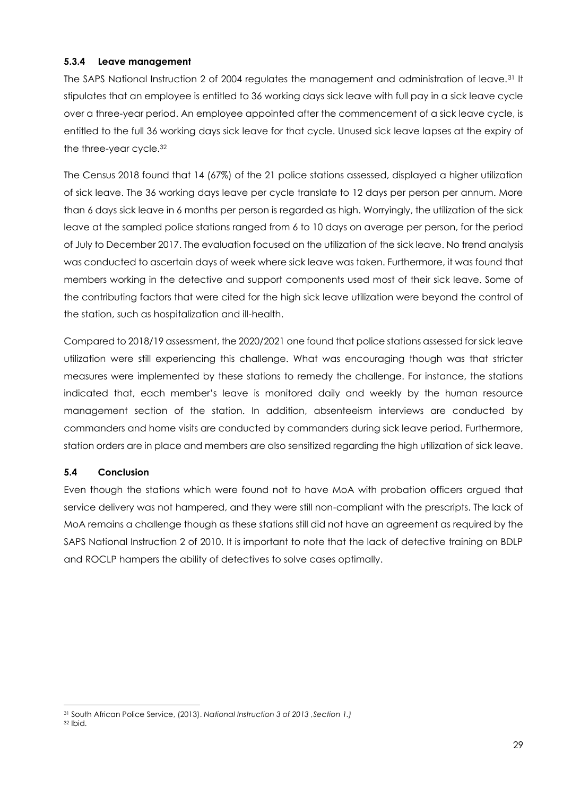#### **5.3.4 Leave management**

The SAPS National Instruction 2 of 2004 regulates the management and administration of leave.<sup>31</sup> It stipulates that an employee is entitled to 36 working days sick leave with full pay in a sick leave cycle over a three-year period. An employee appointed after the commencement of a sick leave cycle, is entitled to the full 36 working days sick leave for that cycle. Unused sick leave lapses at the expiry of the three-year cycle.<sup>32</sup>

The Census 2018 found that 14 (67%) of the 21 police stations assessed, displayed a higher utilization of sick leave. The 36 working days leave per cycle translate to 12 days per person per annum. More than 6 days sick leave in 6 months per person is regarded as high. Worryingly, the utilization of the sick leave at the sampled police stations ranged from 6 to 10 days on average per person, for the period of July to December 2017. The evaluation focused on the utilization of the sick leave. No trend analysis was conducted to ascertain days of week where sick leave was taken. Furthermore, it was found that members working in the detective and support components used most of their sick leave. Some of the contributing factors that were cited for the high sick leave utilization were beyond the control of the station, such as hospitalization and ill-health.

Compared to 2018/19 assessment, the 2020/2021 one found that police stations assessed for sick leave utilization were still experiencing this challenge. What was encouraging though was that stricter measures were implemented by these stations to remedy the challenge. For instance, the stations indicated that, each member's leave is monitored daily and weekly by the human resource management section of the station. In addition, absenteeism interviews are conducted by commanders and home visits are conducted by commanders during sick leave period. Furthermore, station orders are in place and members are also sensitized regarding the high utilization of sick leave.

# **5.4 Conclusion**

Even though the stations which were found not to have MoA with probation officers argued that service delivery was not hampered, and they were still non-compliant with the prescripts. The lack of MoA remains a challenge though as these stations still did not have an agreement as required by the SAPS National Instruction 2 of 2010. It is important to note that the lack of detective training on BDLP and ROCLP hampers the ability of detectives to solve cases optimally.

<sup>31</sup> South African Police Service, (2013). *National Instruction 3 of 2013 ,Section 1.)*

<sup>32</sup> Ibid.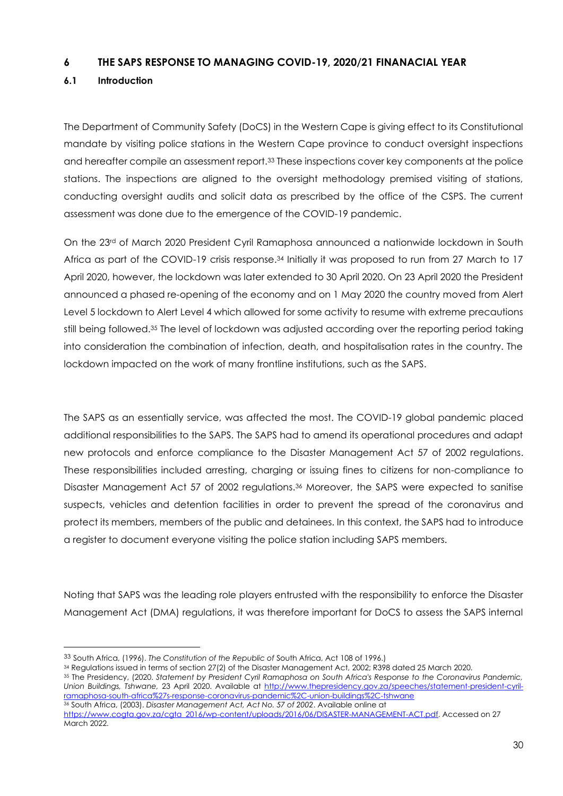# <span id="page-29-0"></span>**6 THE SAPS RESPONSE TO MANAGING COVID-19, 2020/21 FINANACIAL YEAR**

# **6.1 Introduction**

The Department of Community Safety (DoCS) in the Western Cape is giving effect to its Constitutional mandate by visiting police stations in the Western Cape province to conduct oversight inspections and hereafter compile an assessment report.<sup>33</sup> These inspections cover key components at the police stations. The inspections are aligned to the oversight methodology premised visiting of stations, conducting oversight audits and solicit data as prescribed by the office of the CSPS. The current assessment was done due to the emergence of the COVID-19 pandemic.

On the 23rd of March 2020 President Cyril Ramaphosa announced a nationwide lockdown in South Africa as part of the COVID-19 crisis response.<sup>34</sup> Initially it was proposed to run from 27 March to 17 April 2020, however, the lockdown was later extended to 30 April 2020. On 23 April 2020 the President announced a phased re-opening of the economy and on 1 May 2020 the country moved from Alert Level 5 lockdown to Alert Level 4 which allowed for some activity to resume with extreme precautions still being followed.<sup>35</sup> The level of lockdown was adjusted according over the reporting period taking into consideration the combination of infection, death, and hospitalisation rates in the country. The lockdown impacted on the work of many frontline institutions, such as the SAPS.

The SAPS as an essentially service, was affected the most. The COVID-19 global pandemic placed additional responsibilities to the SAPS. The SAPS had to amend its operational procedures and adapt new protocols and enforce compliance to the Disaster Management Act 57 of 2002 regulations. These responsibilities included arresting, charging or issuing fines to citizens for non-compliance to Disaster Management Act 57 of 2002 regulations.<sup>36</sup> Moreover, the SAPS were expected to sanitise suspects, vehicles and detention facilities in order to prevent the spread of the coronavirus and protect its members, members of the public and detainees. In this context, the SAPS had to introduce a register to document everyone visiting the police station including SAPS members.

Noting that SAPS was the leading role players entrusted with the responsibility to enforce the Disaster Management Act (DMA) regulations, it was therefore important for DoCS to assess the SAPS internal

<sup>35</sup> The Presidency, (2020. *Statement by President Cyril Ramaphosa on South Africa's Response to the Coronavirus Pandemic, Union Buildings, Tshwane,* 23 April 2020. Available at [http://www.thepresidency.gov.za/speeches/statement-president-cyril](http://www.thepresidency.gov.za/speeches/statement-president-cyril-ramaphosa-south-africa%27s-response-coronavirus-pandemic%2C-union-buildings%2C-tshwane)[ramaphosa-south-africa%27s-response-coronavirus-pandemic%2C-union-buildings%2C-tshwane](http://www.thepresidency.gov.za/speeches/statement-president-cyril-ramaphosa-south-africa%27s-response-coronavirus-pandemic%2C-union-buildings%2C-tshwane) <sup>36</sup> South Africa, (2003). *Disaster Management Act, Act No. 57 of 2002*. Available online at

<sup>33</sup> South Africa, (1996). *The Constitution of the Republic of* South Africa, Act 108 of 1996.)

<sup>34</sup> Regulations issued in terms of section 27(2) of the Disaster Management Act, 2002; R398 dated 25 March 2020.

[https://www.cogta.gov.za/cgta\\_2016/wp-content/uploads/2016/06/DISASTER-MANAGEMENT-ACT.pdf.](https://www.cogta.gov.za/cgta_2016/wp-content/uploads/2016/06/DISASTER-MANAGEMENT-ACT.pdf) Accessed on 27 March 2022.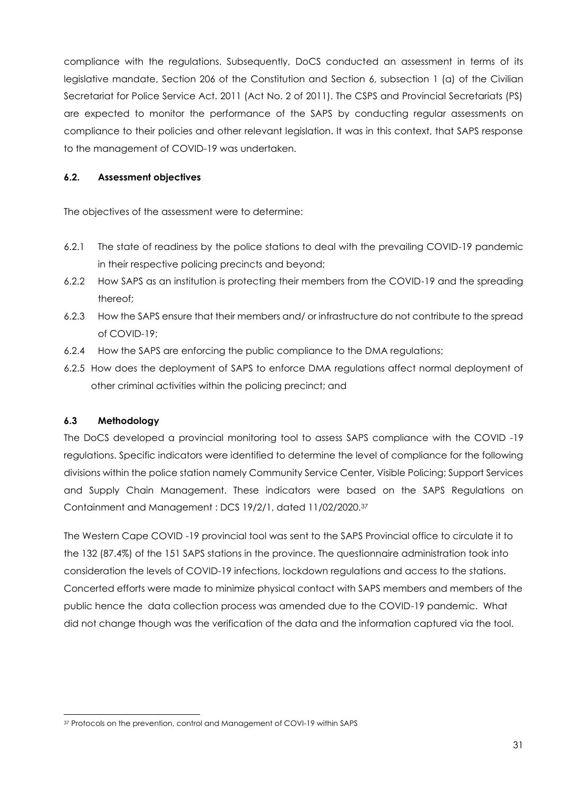compliance with the regulations. Subsequently, DoCS conducted an assessment in terms of its legislative mandate, Section 206 of the Constitution and Section 6, subsection 1 (a) of the Civilian Secretariat for Police Service Act. 2011 (Act No. 2 of 2011). The CSPS and Provincial Secretariats (PS) are expected to monitor the performance of the SAPS by conducting regular assessments on compliance to their policies and other relevant legislation. It was in this context, that SAPS response to the management of COVID-19 was undertaken.

# **6.2. Assessment objectives**

The objectives of the assessment were to determine:

- 6.2.1 The state of readiness by the police stations to deal with the prevailing COVID-19 pandemic in their respective policing precincts and beyond;
- 6.2.2 How SAPS as an institution is protecting their members from the COVID-19 and the spreading thereof;
- 6.2.3 How the SAPS ensure that their members and/ or infrastructure do not contribute to the spread of COVID-19;
- 6.2.4 How the SAPS are enforcing the public compliance to the DMA regulations;
- 6.2.5 How does the deployment of SAPS to enforce DMA regulations affect normal deployment of other criminal activities within the policing precinct; and

# **6.3 Methodology**

The DoCS developed a provincial monitoring tool to assess SAPS compliance with the COVID -19 regulations. Specific indicators were identified to determine the level of compliance for the following divisions within the police station namely Community Service Center, Visible Policing; Support Services and Supply Chain Management. These indicators were based on the SAPS Regulations on Containment and Management : DCS 19/2/1, dated 11/02/2020.<sup>37</sup>

The Western Cape COVID -19 provincial tool was sent to the SAPS Provincial office to circulate it to the 132 (87.4%) of the 151 SAPS stations in the province. The questionnaire administration took into consideration the levels of COVID-19 infections, lockdown regulations and access to the stations. Concerted efforts were made to minimize physical contact with SAPS members and members of the public hence the data collection process was amended due to the COVID-19 pandemic. What did not change though was the verification of the data and the information captured via the tool.

<sup>37</sup> Protocols on the prevention, control and Management of COVI-19 within SAPS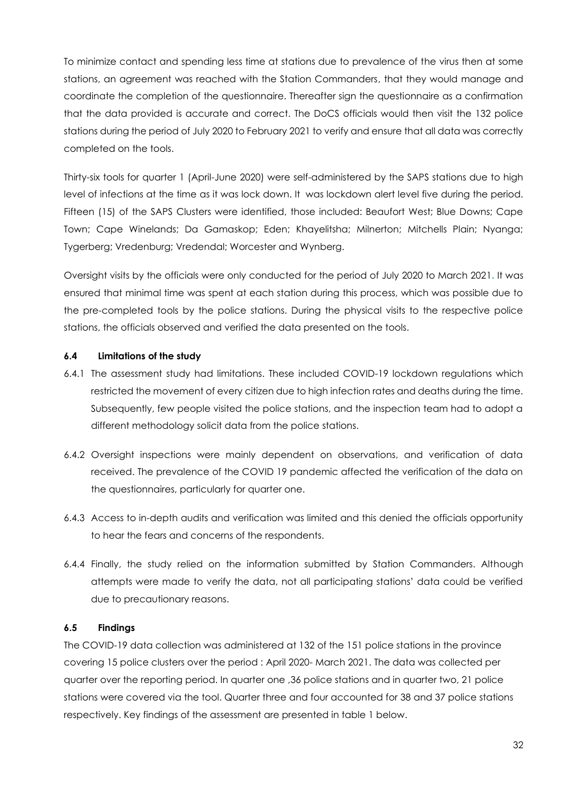To minimize contact and spending less time at stations due to prevalence of the virus then at some stations, an agreement was reached with the Station Commanders, that they would manage and coordinate the completion of the questionnaire. Thereafter sign the questionnaire as a confirmation that the data provided is accurate and correct. The DoCS officials would then visit the 132 police stations during the period of July 2020 to February 2021 to verify and ensure that all data was correctly completed on the tools.

Thirty-six tools for quarter 1 (April-June 2020) were self-administered by the SAPS stations due to high level of infections at the time as it was lock down. It was lockdown alert level five during the period. Fifteen (15) of the SAPS Clusters were identified, those included: Beaufort West; Blue Downs; Cape Town; Cape Winelands; Da Gamaskop; Eden; Khayelitsha; Milnerton; Mitchells Plain; Nyanga; Tygerberg; Vredenburg; Vredendal; Worcester and Wynberg.

Oversight visits by the officials were only conducted for the period of July 2020 to March 2021**.** It was ensured that minimal time was spent at each station during this process, which was possible due to the pre-completed tools by the police stations. During the physical visits to the respective police stations, the officials observed and verified the data presented on the tools.

# **6.4 Limitations of the study**

- 6.4.1 The assessment study had limitations. These included COVID-19 lockdown regulations which restricted the movement of every citizen due to high infection rates and deaths during the time. Subsequently, few people visited the police stations, and the inspection team had to adopt a different methodology solicit data from the police stations.
- 6.4.2 Oversight inspections were mainly dependent on observations, and verification of data received. The prevalence of the COVID 19 pandemic affected the verification of the data on the questionnaires, particularly for quarter one.
- 6.4.3 Access to in-depth audits and verification was limited and this denied the officials opportunity to hear the fears and concerns of the respondents.
- 6.4.4 Finally, the study relied on the information submitted by Station Commanders. Although attempts were made to verify the data, not all participating stations' data could be verified due to precautionary reasons.

# **6.5 Findings**

The COVID-19 data collection was administered at 132 of the 151 police stations in the province covering 15 police clusters over the period : April 2020- March 2021. The data was collected per quarter over the reporting period. In quarter one ,36 police stations and in quarter two, 21 police stations were covered via the tool. Quarter three and four accounted for 38 and 37 police stations respectively. Key findings of the assessment are presented in table 1 below.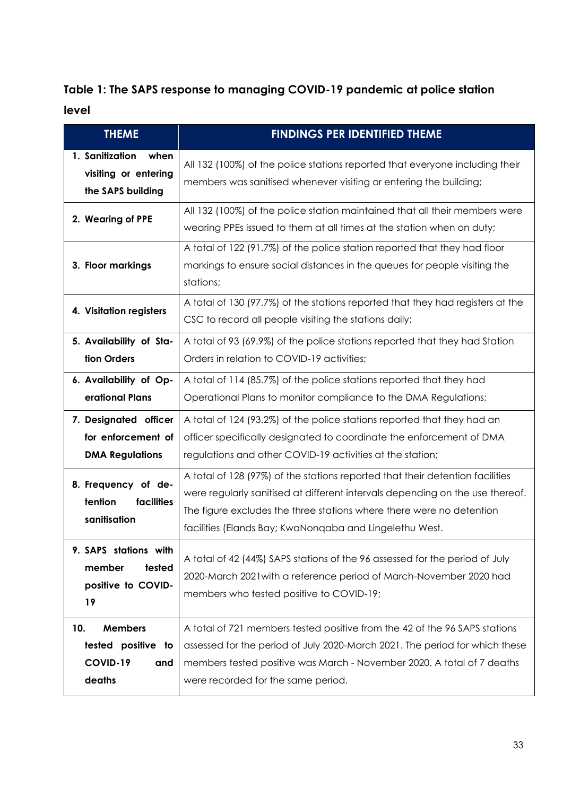# **Table 1: The SAPS response to managing COVID-19 pandemic at police station level**

| <b>THEME</b>                                                             | <b>FINDINGS PER IDENTIFIED THEME</b>                                                                                                                                                                                                                                                              |
|--------------------------------------------------------------------------|---------------------------------------------------------------------------------------------------------------------------------------------------------------------------------------------------------------------------------------------------------------------------------------------------|
| 1. Sanitization<br>when<br>visiting or entering<br>the SAPS building     | All 132 (100%) of the police stations reported that everyone including their<br>members was sanitised whenever visiting or entering the building;                                                                                                                                                 |
| 2. Wearing of PPE                                                        | All 132 (100%) of the police station maintained that all their members were<br>wearing PPEs issued to them at all times at the station when on duty;                                                                                                                                              |
| 3. Floor markings                                                        | A total of 122 (91.7%) of the police station reported that they had floor<br>markings to ensure social distances in the queues for people visiting the<br>stations;                                                                                                                               |
| 4. Visitation registers                                                  | A total of 130 (97.7%) of the stations reported that they had registers at the<br>CSC to record all people visiting the stations daily;                                                                                                                                                           |
| 5. Availability of Sta-<br>tion Orders                                   | A total of 93 (69.9%) of the police stations reported that they had Station<br>Orders in relation to COVID-19 activities;                                                                                                                                                                         |
| 6. Availability of Op-<br>erational Plans                                | A total of 114 (85.7%) of the police stations reported that they had<br>Operational Plans to monitor compliance to the DMA Regulations;                                                                                                                                                           |
| 7. Designated officer<br>for enforcement of<br><b>DMA Regulations</b>    | A total of 124 (93.2%) of the police stations reported that they had an<br>officer specifically designated to coordinate the enforcement of DMA<br>regulations and other COVID-19 activities at the station;                                                                                      |
| 8. Frequency of de-<br>tention<br>facilities<br>sanitisation             | A total of 128 (97%) of the stations reported that their detention facilities<br>were regularly sanifised at different intervals depending on the use thereof.<br>The figure excludes the three stations where there were no detention<br>facilities (Elands Bay; KwaNonqaba and Lingelethu West. |
| 9. SAPS stations with<br>tested<br>member<br>positive to COVID-<br>19    | A total of 42 (44%) SAPS stations of the 96 assessed for the period of July<br>2020-March 2021 with a reference period of March-November 2020 had<br>members who tested positive to COVID-19;                                                                                                     |
| <b>Members</b><br>10.<br>tested positive to<br>COVID-19<br>and<br>deaths | A total of 721 members tested positive from the 42 of the 96 SAPS stations<br>assessed for the period of July 2020-March 2021. The period for which these<br>members tested positive was March - November 2020. A total of 7 deaths<br>were recorded for the same period.                         |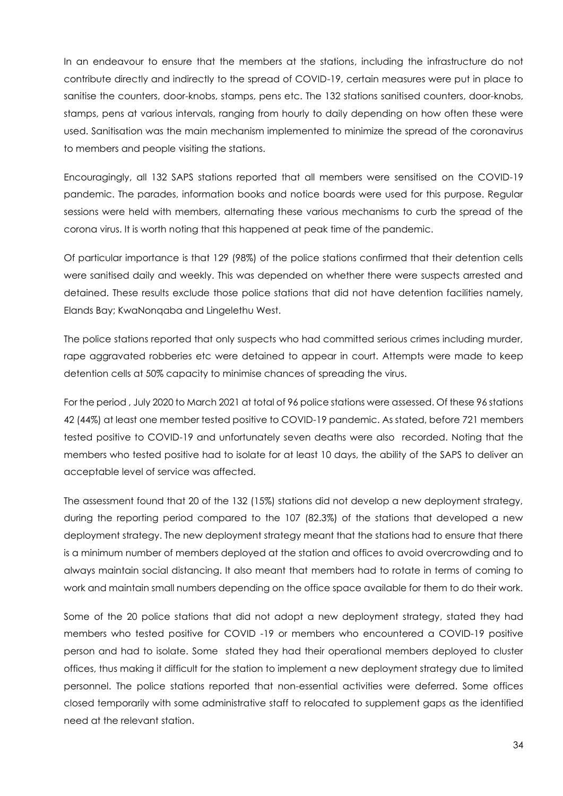In an endeavour to ensure that the members at the stations, including the infrastructure do not contribute directly and indirectly to the spread of COVID-19, certain measures were put in place to sanitise the counters, door-knobs, stamps, pens etc. The 132 stations sanitised counters, door-knobs, stamps, pens at various intervals, ranging from hourly to daily depending on how often these were used. Sanitisation was the main mechanism implemented to minimize the spread of the coronavirus to members and people visiting the stations.

Encouragingly, all 132 SAPS stations reported that all members were sensitised on the COVID-19 pandemic. The parades, information books and notice boards were used for this purpose. Regular sessions were held with members, alternating these various mechanisms to curb the spread of the corona virus. It is worth noting that this happened at peak time of the pandemic.

Of particular importance is that 129 (98%) of the police stations confirmed that their detention cells were sanitised daily and weekly. This was depended on whether there were suspects arrested and detained. These results exclude those police stations that did not have detention facilities namely, Elands Bay; KwaNonqaba and Lingelethu West.

The police stations reported that only suspects who had committed serious crimes including murder, rape aggravated robberies etc were detained to appear in court. Attempts were made to keep detention cells at 50% capacity to minimise chances of spreading the virus.

For the period , July 2020 to March 2021 at total of 96 police stations were assessed. Of these 96 stations 42 (44%) at least one member tested positive to COVID-19 pandemic. As stated, before 721 members tested positive to COVID-19 and unfortunately seven deaths were also recorded. Noting that the members who tested positive had to isolate for at least 10 days, the ability of the SAPS to deliver an acceptable level of service was affected.

The assessment found that 20 of the 132 (15%) stations did not develop a new deployment strategy, during the reporting period compared to the 107 (82.3%) of the stations that developed a new deployment strategy. The new deployment strategy meant that the stations had to ensure that there is a minimum number of members deployed at the station and offices to avoid overcrowding and to always maintain social distancing. It also meant that members had to rotate in terms of coming to work and maintain small numbers depending on the office space available for them to do their work.

Some of the 20 police stations that did not adopt a new deployment strategy, stated they had members who tested positive for COVID -19 or members who encountered a COVID-19 positive person and had to isolate. Some stated they had their operational members deployed to cluster offices, thus making it difficult for the station to implement a new deployment strategy due to limited personnel. The police stations reported that non-essential activities were deferred. Some offices closed temporarily with some administrative staff to relocated to supplement gaps as the identified need at the relevant station.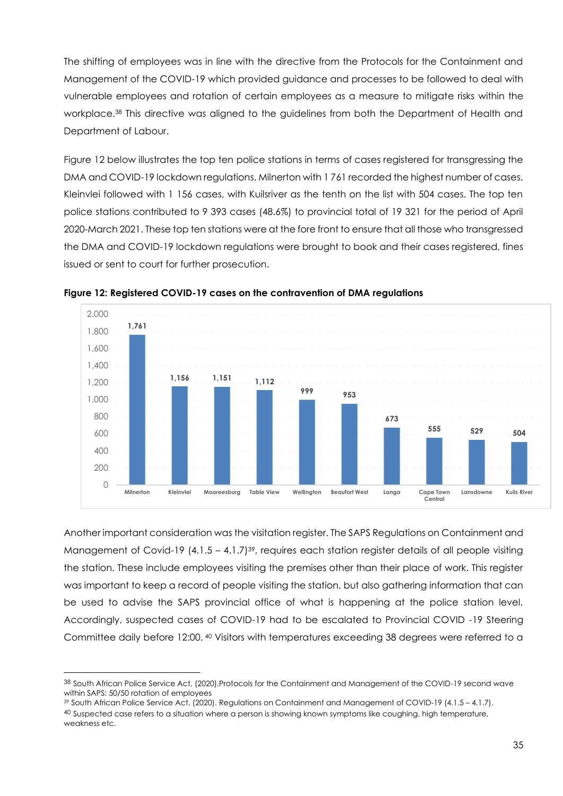The shifting of employees was in line with the directive from the Protocols for the Containment and Management of the COVID-19 which provided guidance and processes to be followed to deal with vulnerable employees and rotation of certain employees as a measure to mitigate risks within the workplace.<sup>38</sup> This directive was aligned to the guidelines from both the Department of Health and Department of Labour.

Figure 12 below illustrates the top ten police stations in terms of cases registered for transgressing the DMA and COVID-19 lockdown regulations. Milnerton with 1 761 recorded the highest number of cases. Kleinvlei followed with 1 156 cases, with Kuilsriver as the tenth on the list with 504 cases. The top ten police stations contributed to 9 393 cases (48.6%) to provincial total of 19 321 for the period of April 2020-March 2021. These top ten stations were at the fore front to ensure that all those who transgressed the DMA and COVID-19 lockdown regulations were brought to book and their cases registered, fines issued or sent to court for further prosecution.



**Figure 12: Registered COVID-19 cases on the contravention of DMA regulations**

Another important consideration was the visitation register. The SAPS Regulations on Containment and Management of Covid-19  $(4.1.5 - 4.1.7)<sup>39</sup>$ , requires each station register details of all people visiting the station. These include employees visiting the premises other than their place of work. This register was important to keep a record of people visiting the station, but also gathering information that can be used to advise the SAPS provincial office of what is happening at the police station level. Accordingly, suspected cases of COVID-19 had to be escalated to Provincial COVID -19 Steering Committee daily before 12:00. <sup>40</sup> Visitors with temperatures exceeding 38 degrees were referred to a

<sup>38</sup> South African Police Service Act, (2020).Protocols for the Containment and Management of the COVID-19 second wave within SAPS: 50/50 rotation of employees

<sup>39</sup> South African Police Service Act, (2020). Regulations on Containment and Management of COVID-19 (4.1.5 – 4.1.7). <sup>40</sup> Suspected case refers to a situation where a person is showing known symptoms like coughing, high temperature, weakness etc.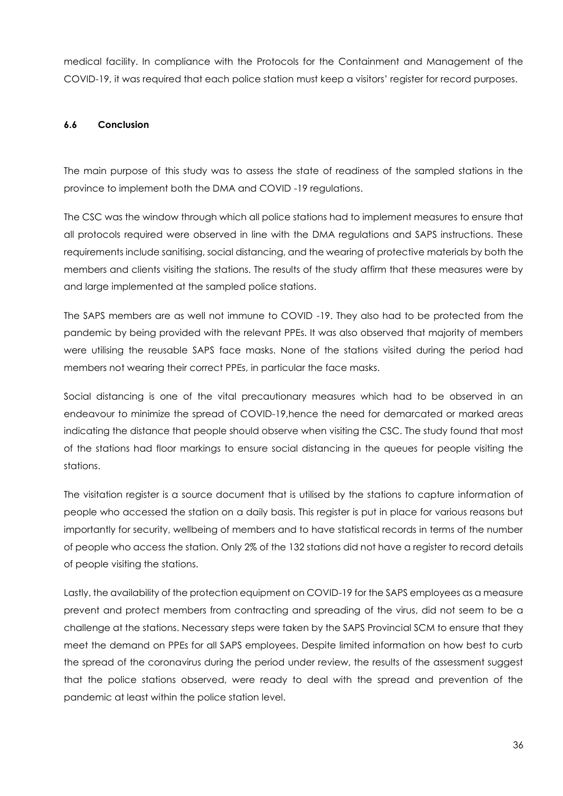medical facility. In compliance with the Protocols for the Containment and Management of the COVID-19, it was required that each police station must keep a visitors' register for record purposes.

# **6.6 Conclusion**

The main purpose of this study was to assess the state of readiness of the sampled stations in the province to implement both the DMA and COVID -19 regulations.

The CSC was the window through which all police stations had to implement measures to ensure that all protocols required were observed in line with the DMA regulations and SAPS instructions. These requirements include sanitising, social distancing, and the wearing of protective materials by both the members and clients visiting the stations. The results of the study affirm that these measures were by and large implemented at the sampled police stations.

The SAPS members are as well not immune to COVID -19. They also had to be protected from the pandemic by being provided with the relevant PPEs. It was also observed that majority of members were utilising the reusable SAPS face masks. None of the stations visited during the period had members not wearing their correct PPEs, in particular the face masks.

Social distancing is one of the vital precautionary measures which had to be observed in an endeavour to minimize the spread of COVID-19,hence the need for demarcated or marked areas indicating the distance that people should observe when visiting the CSC. The study found that most of the stations had floor markings to ensure social distancing in the queues for people visiting the stations.

The visitation register is a source document that is utilised by the stations to capture information of people who accessed the station on a daily basis. This register is put in place for various reasons but importantly for security, wellbeing of members and to have statistical records in terms of the number of people who access the station. Only 2% of the 132 stations did not have a register to record details of people visiting the stations.

Lastly, the availability of the protection equipment on COVID-19 for the SAPS employees as a measure prevent and protect members from contracting and spreading of the virus, did not seem to be a challenge at the stations. Necessary steps were taken by the SAPS Provincial SCM to ensure that they meet the demand on PPEs for all SAPS employees. Despite limited information on how best to curb the spread of the coronavirus during the period under review, the results of the assessment suggest that the police stations observed, were ready to deal with the spread and prevention of the pandemic at least within the police station level.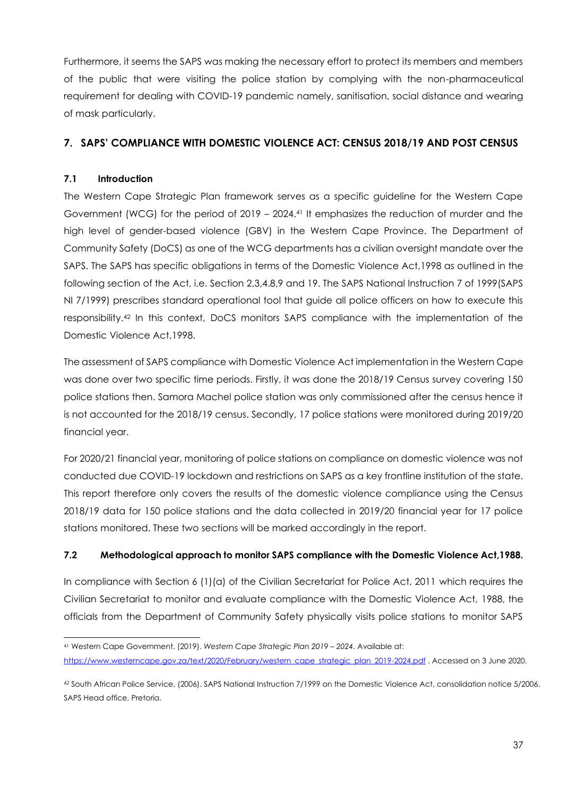Furthermore, it seems the SAPS was making the necessary effort to protect its members and members of the public that were visiting the police station by complying with the non-pharmaceutical requirement for dealing with COVID-19 pandemic namely, sanitisation, social distance and wearing of mask particularly.

# <span id="page-36-0"></span>**7. SAPS' COMPLIANCE WITH DOMESTIC VIOLENCE ACT: CENSUS 2018/19 AND POST CENSUS**

# **7.1 Introduction**

The Western Cape Strategic Plan framework serves as a specific guideline for the Western Cape Government (WCG) for the period of 2019 – 2024.<sup>41</sup> It emphasizes the reduction of murder and the high level of gender-based violence (GBV) in the Western Cape Province. The Department of Community Safety (DoCS) as one of the WCG departments has a civilian oversight mandate over the SAPS. The SAPS has specific obligations in terms of the Domestic Violence Act,1998 as outlined in the following section of the Act, i.e. Section 2,3,4.8,9 and 19. The SAPS National Instruction 7 of 1999(SAPS NI 7/1999) prescribes standard operational tool that guide all police officers on how to execute this responsibility.<sup>42</sup> In this context, DoCS monitors SAPS compliance with the implementation of the Domestic Violence Act,1998.

The assessment of SAPS compliance with Domestic Violence Act implementation in the Western Cape was done over two specific time periods. Firstly, it was done the 2018/19 Census survey covering 150 police stations then. Samora Machel police station was only commissioned after the census hence it is not accounted for the 2018/19 census. Secondly, 17 police stations were monitored during 2019/20 financial year.

For 2020/21 financial year, monitoring of police stations on compliance on domestic violence was not conducted due COVID-19 lockdown and restrictions on SAPS as a key frontline institution of the state. This report therefore only covers the results of the domestic violence compliance using the Census 2018/19 data for 150 police stations and the data collected in 2019/20 financial year for 17 police stations monitored. These two sections will be marked accordingly in the report.

#### **7.2 Methodological approach to monitor SAPS compliance with the Domestic Violence Act,1988.**

In compliance with Section 6 (1)(a) of the Civilian Secretariat for Police Act, 2011 which requires the Civilian Secretariat to monitor and evaluate compliance with the Domestic Violence Act, 1988, the officials from the Department of Community Safety physically visits police stations to monitor SAPS

<sup>41</sup> Western Cape Government, (2019). *Western Cape Strategic Plan 2019 – 2024*. Available at: [https://www.westerncape.gov.za/text/2020/February/western\\_cape\\_strategic\\_plan\\_2019-2024.pdf](https://www.westerncape.gov.za/text/2020/February/western_cape_strategic_plan_2019-2024.pdf) . Accessed on 3 June 2020.

<sup>42</sup> South African Police Service, (2006). SAPS National Instruction 7/1999 on the Domestic Violence Act, consolidation notice 5/2006. SAPS Head office, Pretoria.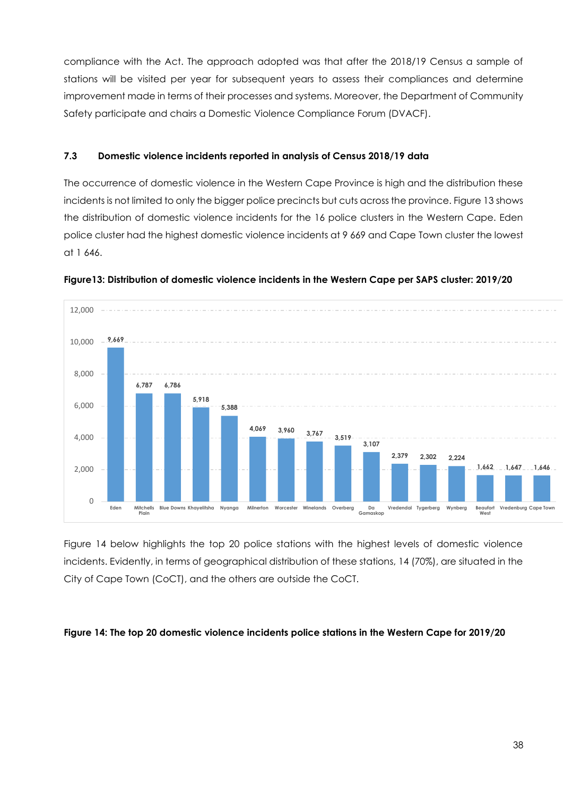compliance with the Act. The approach adopted was that after the 2018/19 Census a sample of stations will be visited per year for subsequent years to assess their compliances and determine improvement made in terms of their processes and systems. Moreover, the Department of Community Safety participate and chairs a Domestic Violence Compliance Forum (DVACF).

#### **7.3 Domestic violence incidents reported in analysis of Census 2018/19 data**

The occurrence of domestic violence in the Western Cape Province is high and the distribution these incidents is not limited to only the bigger police precincts but cuts across the province. Figure 13 shows the distribution of domestic violence incidents for the 16 police clusters in the Western Cape. Eden police cluster had the highest domestic violence incidents at 9 669 and Cape Town cluster the lowest at 1 646.





Figure 14 below highlights the top 20 police stations with the highest levels of domestic violence incidents. Evidently, in terms of geographical distribution of these stations, 14 (70%), are situated in the City of Cape Town (CoCT), and the others are outside the CoCT.

#### **Figure 14: The top 20 domestic violence incidents police stations in the Western Cape for 2019/20**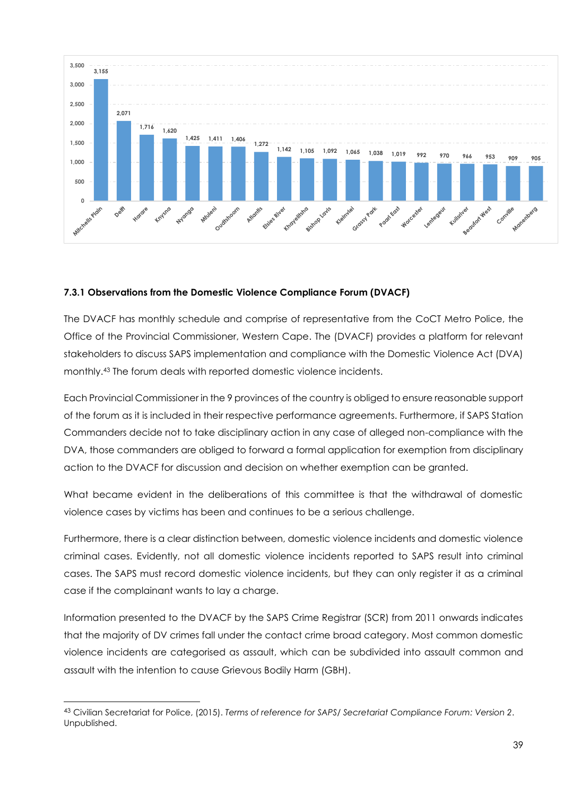

#### **7.3.1 Observations from the Domestic Violence Compliance Forum (DVACF)**

The DVACF has monthly schedule and comprise of representative from the CoCT Metro Police, the Office of the Provincial Commissioner, Western Cape. The (DVACF) provides a platform for relevant stakeholders to discuss SAPS implementation and compliance with the Domestic Violence Act (DVA) monthly.<sup>43</sup> The forum deals with reported domestic violence incidents.

Each Provincial Commissioner in the 9 provinces of the country is obliged to ensure reasonable support of the forum as it is included in their respective performance agreements. Furthermore, if SAPS Station Commanders decide not to take disciplinary action in any case of alleged non-compliance with the DVA, those commanders are obliged to forward a formal application for exemption from disciplinary action to the DVACF for discussion and decision on whether exemption can be granted.

What became evident in the deliberations of this committee is that the withdrawal of domestic violence cases by victims has been and continues to be a serious challenge.

Furthermore, there is a clear distinction between, domestic violence incidents and domestic violence criminal cases. Evidently, not all domestic violence incidents reported to SAPS result into criminal cases. The SAPS must record domestic violence incidents, but they can only register it as a criminal case if the complainant wants to lay a charge.

Information presented to the DVACF by the SAPS Crime Registrar (SCR) from 2011 onwards indicates that the majority of DV crimes fall under the contact crime broad category. Most common domestic violence incidents are categorised as assault, which can be subdivided into assault common and assault with the intention to cause Grievous Bodily Harm (GBH).

<sup>43</sup> Civilian Secretariat for Police, (2015). *Terms of reference for SAPS/ Secretariat Compliance Forum: Version 2*. Unpublished.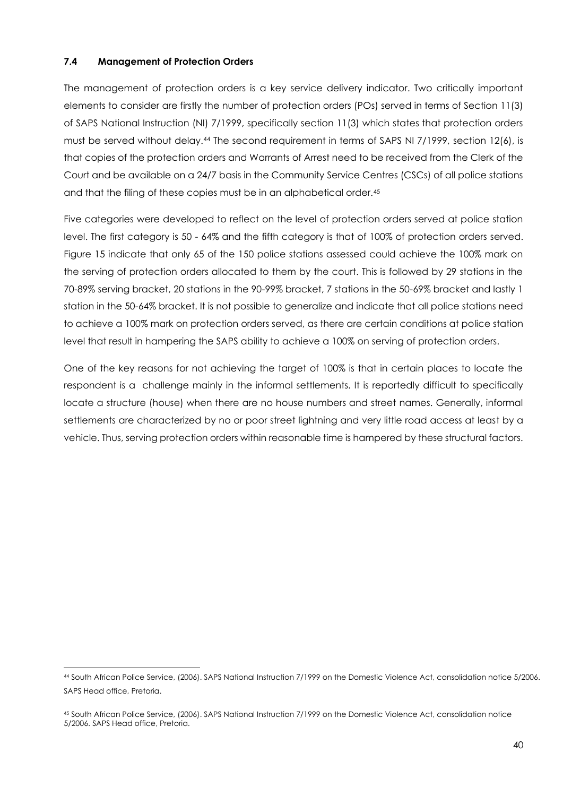# **7.4 Management of Protection Orders**

The management of protection orders is a key service delivery indicator. Two critically important elements to consider are firstly the number of protection orders (POs) served in terms of Section 11(3) of SAPS National Instruction (NI) 7/1999, specifically section 11(3) which states that protection orders must be served without delay.<sup>44</sup> The second requirement in terms of SAPS NI 7/1999, section 12(6), is that copies of the protection orders and Warrants of Arrest need to be received from the Clerk of the Court and be available on a 24/7 basis in the Community Service Centres (CSCs) of all police stations and that the filing of these copies must be in an alphabetical order.<sup>45</sup>

Five categories were developed to reflect on the level of protection orders served at police station level. The first category is 50 - 64% and the fifth category is that of 100% of protection orders served. Figure 15 indicate that only 65 of the 150 police stations assessed could achieve the 100% mark on the serving of protection orders allocated to them by the court. This is followed by 29 stations in the 70-89% serving bracket, 20 stations in the 90-99% bracket, 7 stations in the 50-69% bracket and lastly 1 station in the 50-64% bracket. It is not possible to generalize and indicate that all police stations need to achieve a 100% mark on protection orders served, as there are certain conditions at police station level that result in hampering the SAPS ability to achieve a 100% on serving of protection orders.

One of the key reasons for not achieving the target of 100% is that in certain places to locate the respondent is a challenge mainly in the informal settlements. It is reportedly difficult to specifically locate a structure (house) when there are no house numbers and street names. Generally, informal settlements are characterized by no or poor street lightning and very little road access at least by a vehicle. Thus, serving protection orders within reasonable time is hampered by these structural factors.

<sup>44</sup> South African Police Service, (2006). SAPS National Instruction 7/1999 on the Domestic Violence Act, consolidation notice 5/2006. SAPS Head office, Pretoria.

<sup>45</sup> South African Police Service, (2006). SAPS National Instruction 7/1999 on the Domestic Violence Act, consolidation notice 5/2006. SAPS Head office, Pretoria.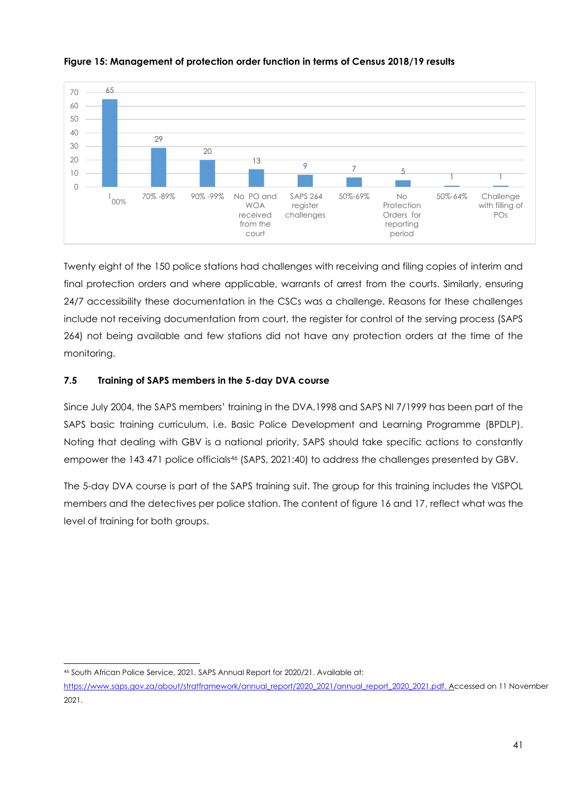

**Figure 15: Management of protection order function in terms of Census 2018/19 results** 

Twenty eight of the 150 police stations had challenges with receiving and filing copies of interim and final protection orders and where applicable, warrants of arrest from the courts. Similarly, ensuring 24/7 accessibility these documentation in the CSCs was a challenge. Reasons for these challenges include not receiving documentation from court, the register for control of the serving process (SAPS 264) not being available and few stations did not have any protection orders at the time of the monitoring.

# **7.5 Training of SAPS members in the 5-day DVA course**

Since July 2004, the SAPS members' training in the DVA,1998 and SAPS NI 7/1999 has been part of the SAPS basic training curriculum, i.e. Basic Police Development and Learning Programme (BPDLP). Noting that dealing with GBV is a national priority, SAPS should take specific actions to constantly empower the 143 471 police officials<sup>46</sup> (SAPS, 2021:40) to address the challenges presented by GBV.

The 5-day DVA course is part of the SAPS training suit. The group for this training includes the VISPOL members and the detectives per police station. The content of figure 16 and 17, reflect what was the level of training for both groups.

<sup>46</sup> South African Police Service, 2021. SAPS Annual Report for 2020/21. Available at:

[https://www.saps.gov.za/about/stratframework/annual\\_report/2020\\_2021/annual\\_report\\_2020\\_2021.pdf.](https://www.saps.gov.za/about/stratframework/annual_report/2020_2021/annual_report_2020_2021.pdf) Accessed on 11 November 2021.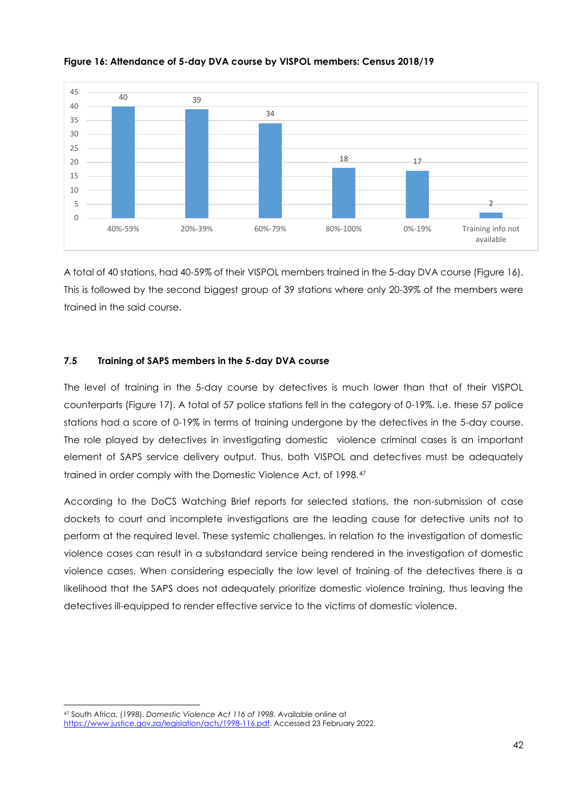

#### **Figure 16: Attendance of 5-day DVA course by VISPOL members: Census 2018/19**

A total of 40 stations, had 40-59% of their VISPOL members trained in the 5-day DVA course (Figure 16). This is followed by the second biggest group of 39 stations where only 20-39% of the members were trained in the said course.

#### **7.5 Training of SAPS members in the 5-day DVA course**

The level of training in the 5-day course by detectives is much lower than that of their VISPOL counterparts (Figure 17). A total of 57 police stations fell in the category of 0-19%. i.e. these 57 police stations had a score of 0-19% in terms of training undergone by the detectives in the 5-day course. The role played by detectives in investigating domestic violence criminal cases is an important element of SAPS service delivery output. Thus, both VISPOL and detectives must be adequately trained in order comply with the Domestic Violence Act, of 1998.<sup>47</sup>

According to the DoCS Watching Brief reports for selected stations, the non-submission of case dockets to court and incomplete investigations are the leading cause for detective units not to perform at the required level. These systemic challenges, in relation to the investigation of domestic violence cases can result in a substandard service being rendered in the investigation of domestic violence cases. When considering especially the low level of training of the detectives there is a likelihood that the SAPS does not adequately prioritize domestic violence training, thus leaving the detectives ill-equipped to render effective service to the victims of domestic violence.

<sup>47</sup> South Africa, (1998). *Domestic Violence Act 116 of 1998.* Available online at [https://www.justice.gov.za/legislation/acts/1998-116.pdf.](https://www.justice.gov.za/legislation/acts/1998-116.pdf) Accessed 23 February 2022.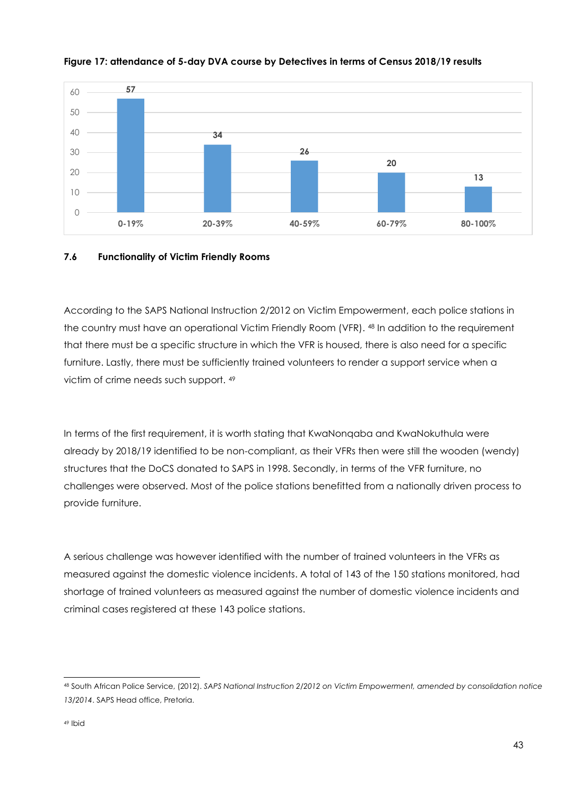

#### **Figure 17: attendance of 5-day DVA course by Detectives in terms of Census 2018/19 results**

# **7.6 Functionality of Victim Friendly Rooms**

According to the SAPS National Instruction 2/2012 on Victim Empowerment, each police stations in the country must have an operational Victim Friendly Room (VFR). <sup>48</sup> In addition to the requirement that there must be a specific structure in which the VFR is housed, there is also need for a specific furniture. Lastly, there must be sufficiently trained volunteers to render a support service when a victim of crime needs such support. <sup>49</sup>

In terms of the first requirement, it is worth stating that KwaNonqaba and KwaNokuthula were already by 2018/19 identified to be non-compliant, as their VFRs then were still the wooden (wendy) structures that the DoCS donated to SAPS in 1998. Secondly, in terms of the VFR furniture, no challenges were observed. Most of the police stations benefitted from a nationally driven process to provide furniture.

A serious challenge was however identified with the number of trained volunteers in the VFRs as measured against the domestic violence incidents. A total of 143 of the 150 stations monitored, had shortage of trained volunteers as measured against the number of domestic violence incidents and criminal cases registered at these 143 police stations.

<sup>48</sup> South African Police Service, (2012). *SAPS National Instruction 2/2012 on Victim Empowerment, amended by consolidation notice 13/2014*. SAPS Head office, Pretoria.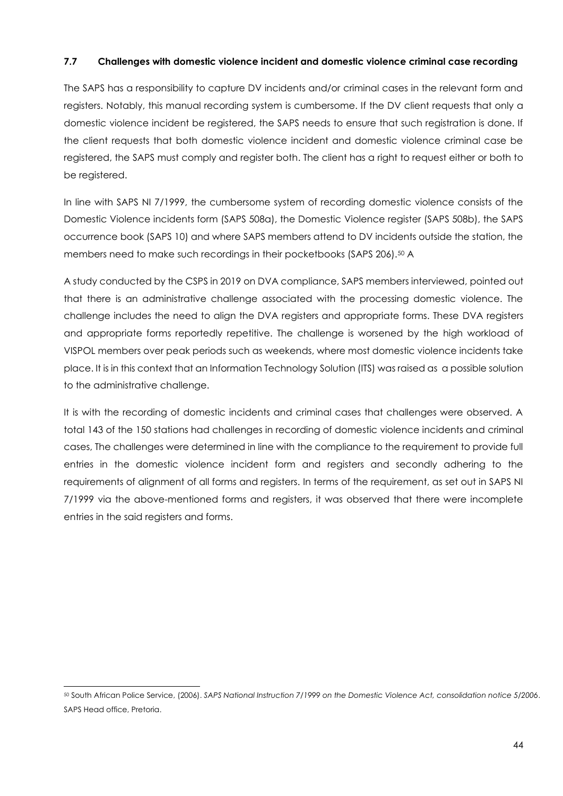# **7.7 Challenges with domestic violence incident and domestic violence criminal case recording**

The SAPS has a responsibility to capture DV incidents and/or criminal cases in the relevant form and registers. Notably, this manual recording system is cumbersome. If the DV client requests that only a domestic violence incident be registered, the SAPS needs to ensure that such registration is done. If the client requests that both domestic violence incident and domestic violence criminal case be registered, the SAPS must comply and register both. The client has a right to request either or both to be registered.

In line with SAPS NI 7/1999, the cumbersome system of recording domestic violence consists of the Domestic Violence incidents form (SAPS 508a), the Domestic Violence register (SAPS 508b), the SAPS occurrence book (SAPS 10) and where SAPS members attend to DV incidents outside the station, the members need to make such recordings in their pocketbooks (SAPS 206).<sup>50</sup> A

A study conducted by the CSPS in 2019 on DVA compliance, SAPS members interviewed, pointed out that there is an administrative challenge associated with the processing domestic violence. The challenge includes the need to align the DVA registers and appropriate forms. These DVA registers and appropriate forms reportedly repetitive. The challenge is worsened by the high workload of VISPOL members over peak periods such as weekends, where most domestic violence incidents take place. It is in this context that an Information Technology Solution (ITS) was raised as a possible solution to the administrative challenge.

It is with the recording of domestic incidents and criminal cases that challenges were observed. A total 143 of the 150 stations had challenges in recording of domestic violence incidents and criminal cases, The challenges were determined in line with the compliance to the requirement to provide full entries in the domestic violence incident form and registers and secondly adhering to the requirements of alignment of all forms and registers. In terms of the requirement, as set out in SAPS NI 7/1999 via the above-mentioned forms and registers, it was observed that there were incomplete entries in the said registers and forms.

<sup>50</sup> South African Police Service, (2006). *SAPS National Instruction 7/1999 on the Domestic Violence Act, consolidation notice 5/2006*. SAPS Head office, Pretoria.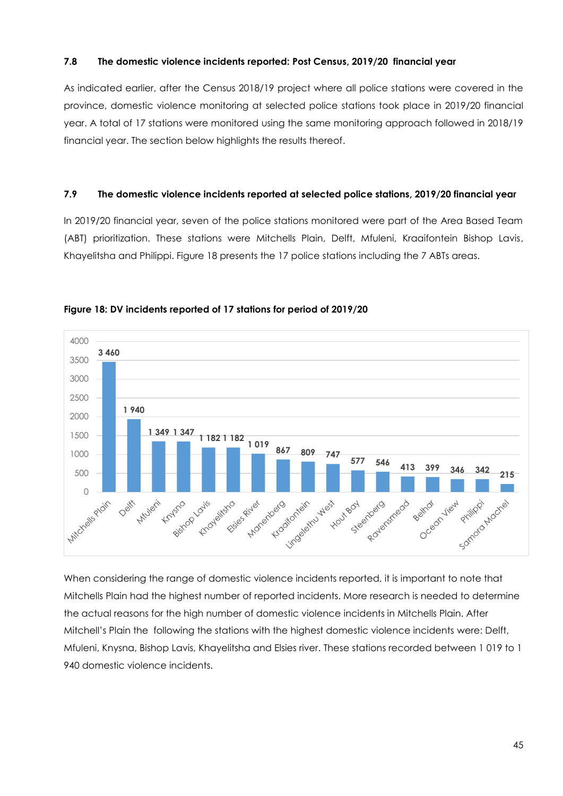#### **7.8 The domestic violence incidents reported: Post Census, 2019/20 financial year**

As indicated earlier, after the Census 2018/19 project where all police stations were covered in the province, domestic violence monitoring at selected police stations took place in 2019/20 financial year. A total of 17 stations were monitored using the same monitoring approach followed in 2018/19 financial year. The section below highlights the results thereof.

#### **7.9 The domestic violence incidents reported at selected police stations, 2019/20 financial year**

In 2019/20 financial year, seven of the police stations monitored were part of the Area Based Team (ABT) prioritization. These stations were Mitchells Plain, Delft, Mfuleni, Kraaifontein Bishop Lavis, Khayelitsha and Philippi. Figure 18 presents the 17 police stations including the 7 ABTs areas.





When considering the range of domestic violence incidents reported, it is important to note that Mitchells Plain had the highest number of reported incidents. More research is needed to determine the actual reasons for the high number of domestic violence incidents in Mitchells Plain. After Mitchell's Plain the following the stations with the highest domestic violence incidents were: Delft, Mfuleni, Knysna, Bishop Lavis, Khayelitsha and Elsies river. These stations recorded between 1 019 to 1 940 domestic violence incidents.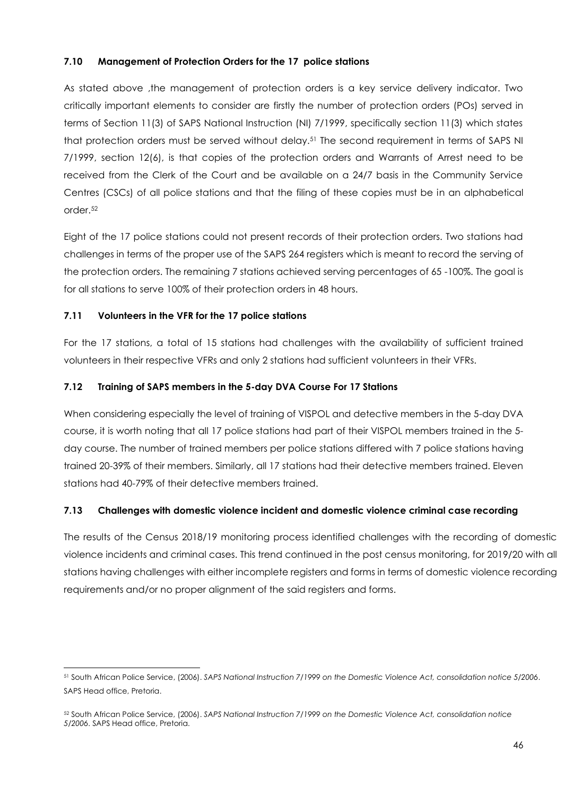# **7.10 Management of Protection Orders for the 17 police stations**

As stated above ,the management of protection orders is a key service delivery indicator. Two critically important elements to consider are firstly the number of protection orders (POs) served in terms of Section 11(3) of SAPS National Instruction (NI) 7/1999, specifically section 11(3) which states that protection orders must be served without delay.<sup>51</sup> The second requirement in terms of SAPS NI 7/1999, section 12(6), is that copies of the protection orders and Warrants of Arrest need to be received from the Clerk of the Court and be available on a 24/7 basis in the Community Service Centres (CSCs) of all police stations and that the filing of these copies must be in an alphabetical order.<sup>52</sup>

Eight of the 17 police stations could not present records of their protection orders. Two stations had challenges in terms of the proper use of the SAPS 264 registers which is meant to record the serving of the protection orders. The remaining 7 stations achieved serving percentages of 65 -100%. The goal is for all stations to serve 100% of their protection orders in 48 hours.

# **7.11 Volunteers in the VFR for the 17 police stations**

For the 17 stations, a total of 15 stations had challenges with the availability of sufficient trained volunteers in their respective VFRs and only 2 stations had sufficient volunteers in their VFRs.

# **7.12 Training of SAPS members in the 5-day DVA Course For 17 Stations**

When considering especially the level of training of VISPOL and detective members in the 5-day DVA course, it is worth noting that all 17 police stations had part of their VISPOL members trained in the 5 day course. The number of trained members per police stations differed with 7 police stations having trained 20-39% of their members. Similarly, all 17 stations had their detective members trained. Eleven stations had 40-79% of their detective members trained.

# **7.13 Challenges with domestic violence incident and domestic violence criminal case recording**

The results of the Census 2018/19 monitoring process identified challenges with the recording of domestic violence incidents and criminal cases. This trend continued in the post census monitoring, for 2019/20 with all stations having challenges with either incomplete registers and forms in terms of domestic violence recording requirements and/or no proper alignment of the said registers and forms.

<sup>51</sup> South African Police Service, (2006). *SAPS National Instruction 7/1999 on the Domestic Violence Act, consolidation notice 5/2006*. SAPS Head office, Pretoria.

<sup>52</sup> South African Police Service, (2006). *SAPS National Instruction 7/1999 on the Domestic Violence Act, consolidation notice 5/2006*. SAPS Head office, Pretoria.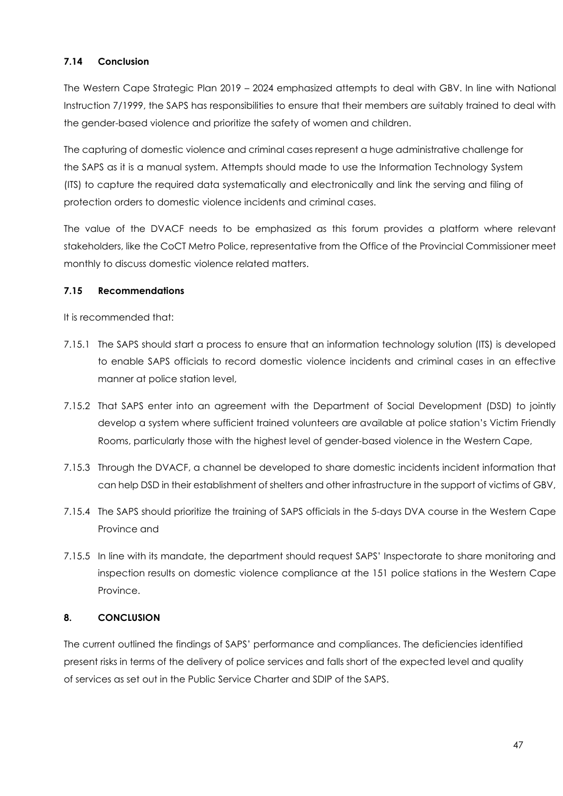# **7.14 Conclusion**

The Western Cape Strategic Plan 2019 – 2024 emphasized attempts to deal with GBV. In line with National Instruction 7/1999, the SAPS has responsibilities to ensure that their members are suitably trained to deal with the gender-based violence and prioritize the safety of women and children.

The capturing of domestic violence and criminal cases represent a huge administrative challenge for the SAPS as it is a manual system. Attempts should made to use the Information Technology System (ITS) to capture the required data systematically and electronically and link the serving and filing of protection orders to domestic violence incidents and criminal cases.

The value of the DVACF needs to be emphasized as this forum provides a platform where relevant stakeholders, like the CoCT Metro Police, representative from the Office of the Provincial Commissioner meet monthly to discuss domestic violence related matters.

# **7.15 Recommendations**

It is recommended that:

- 7.15.1 The SAPS should start a process to ensure that an information technology solution (ITS) is developed to enable SAPS officials to record domestic violence incidents and criminal cases in an effective manner at police station level,
- 7.15.2 That SAPS enter into an agreement with the Department of Social Development (DSD) to jointly develop a system where sufficient trained volunteers are available at police station's Victim Friendly Rooms, particularly those with the highest level of gender-based violence in the Western Cape,
- 7.15.3 Through the DVACF, a channel be developed to share domestic incidents incident information that can help DSD in their establishment of shelters and other infrastructure in the support of victims of GBV,
- 7.15.4 The SAPS should prioritize the training of SAPS officials in the 5-days DVA course in the Western Cape Province and
- 7.15.5 In line with its mandate, the department should request SAPS' Inspectorate to share monitoring and inspection results on domestic violence compliance at the 151 police stations in the Western Cape Province.

# <span id="page-46-0"></span>**8. CONCLUSION**

The current outlined the findings of SAPS' performance and compliances. The deficiencies identified present risks in terms of the delivery of police services and falls short of the expected level and quality of services as set out in the Public Service Charter and SDIP of the SAPS.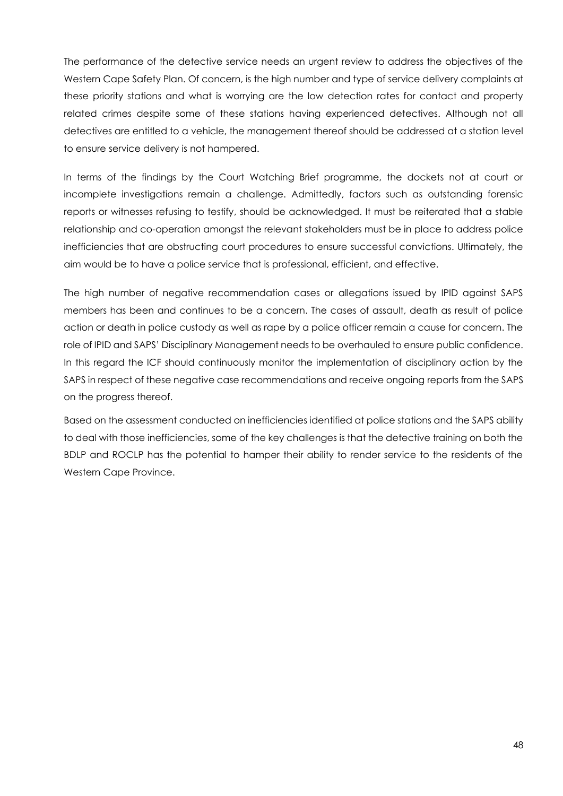The performance of the detective service needs an urgent review to address the objectives of the Western Cape Safety Plan. Of concern, is the high number and type of service delivery complaints at these priority stations and what is worrying are the low detection rates for contact and property related crimes despite some of these stations having experienced detectives. Although not all detectives are entitled to a vehicle, the management thereof should be addressed at a station level to ensure service delivery is not hampered.

In terms of the findings by the Court Watching Brief programme, the dockets not at court or incomplete investigations remain a challenge. Admittedly, factors such as outstanding forensic reports or witnesses refusing to testify, should be acknowledged. It must be reiterated that a stable relationship and co-operation amongst the relevant stakeholders must be in place to address police inefficiencies that are obstructing court procedures to ensure successful convictions. Ultimately, the aim would be to have a police service that is professional, efficient, and effective.

The high number of negative recommendation cases or allegations issued by IPID against SAPS members has been and continues to be a concern. The cases of assault, death as result of police action or death in police custody as well as rape by a police officer remain a cause for concern. The role of IPID and SAPS' Disciplinary Management needs to be overhauled to ensure public confidence. In this regard the ICF should continuously monitor the implementation of disciplinary action by the SAPS in respect of these negative case recommendations and receive ongoing reports from the SAPS on the progress thereof.

Based on the assessment conducted on inefficiencies identified at police stations and the SAPS ability to deal with those inefficiencies, some of the key challenges is that the detective training on both the BDLP and ROCLP has the potential to hamper their ability to render service to the residents of the Western Cape Province.